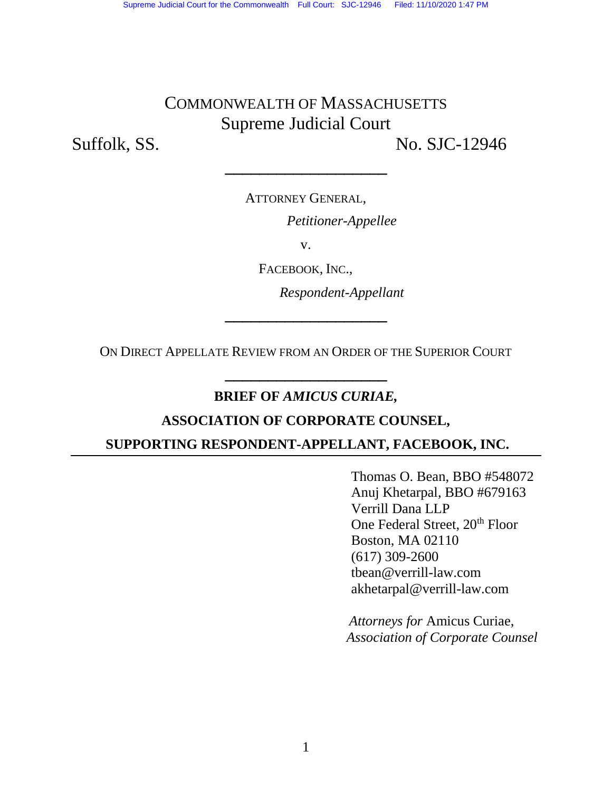# COMMONWEALTH OF MASSACHUSETTS Supreme Judicial Court

Suffolk, SS. No. SJC-12946

ATTORNEY GENERAL,

**\_\_\_\_\_\_\_\_\_\_\_\_\_\_\_\_\_\_\_**

*Petitioner-Appellee*

v.

FACEBOOK, INC.,

*Respondent-Appellant*

ON DIRECT APPELLATE REVIEW FROM AN ORDER OF THE SUPERIOR COURT **\_\_\_\_\_\_\_\_\_\_\_\_\_\_\_\_\_\_\_**

**\_\_\_\_\_\_\_\_\_\_\_\_\_\_\_\_\_\_\_**

### **BRIEF OF** *AMICUS CURIAE,*

#### **ASSOCIATION OF CORPORATE COUNSEL,**

#### **SUPPORTING RESPONDENT-APPELLANT, FACEBOOK, INC.**

Thomas O. Bean, BBO #548072 Anuj Khetarpal, BBO #679163 Verrill Dana LLP One Federal Street, 20<sup>th</sup> Floor Boston, MA 02110 (617) 309-2600 tbean@verrill-law.com akhetarpal@verrill-law.com

*Attorneys for* Amicus Curiae,  *Association of Corporate Counsel*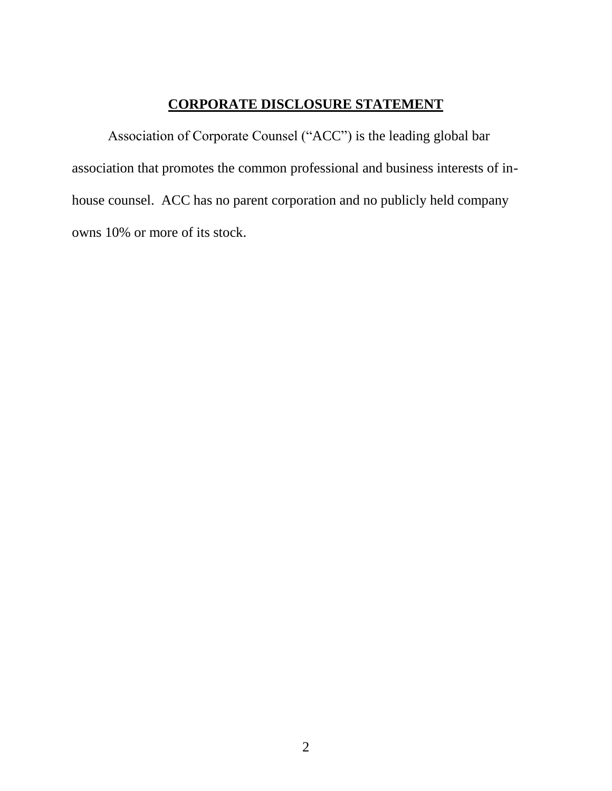## **CORPORATE DISCLOSURE STATEMENT**

Association of Corporate Counsel ("ACC") is the leading global bar association that promotes the common professional and business interests of inhouse counsel. ACC has no parent corporation and no publicly held company owns 10% or more of its stock.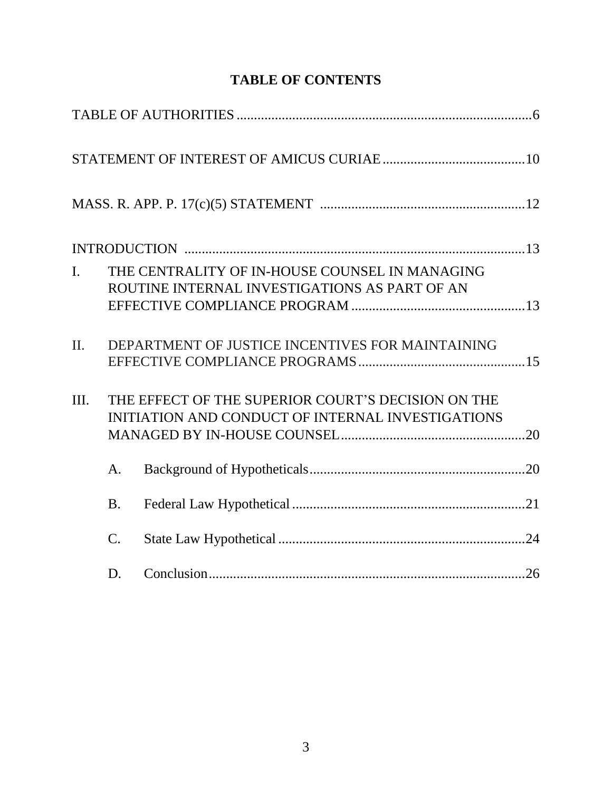| $\overline{L}$ |                | THE CENTRALITY OF IN-HOUSE COUNSEL IN MANAGING<br>ROUTINE INTERNAL INVESTIGATIONS AS PART OF AN |  |
|----------------|----------------|-------------------------------------------------------------------------------------------------|--|
|                |                |                                                                                                 |  |
| $\Pi$ .        |                | DEPARTMENT OF JUSTICE INCENTIVES FOR MAINTAINING                                                |  |
|                |                |                                                                                                 |  |
| Ш.             |                | THE EFFECT OF THE SUPERIOR COURT'S DECISION ON THE                                              |  |
|                |                | INITIATION AND CONDUCT OF INTERNAL INVESTIGATIONS                                               |  |
|                | A.             |                                                                                                 |  |
|                | <b>B.</b>      |                                                                                                 |  |
|                | $\mathbf{C}$ . |                                                                                                 |  |
|                | D.             |                                                                                                 |  |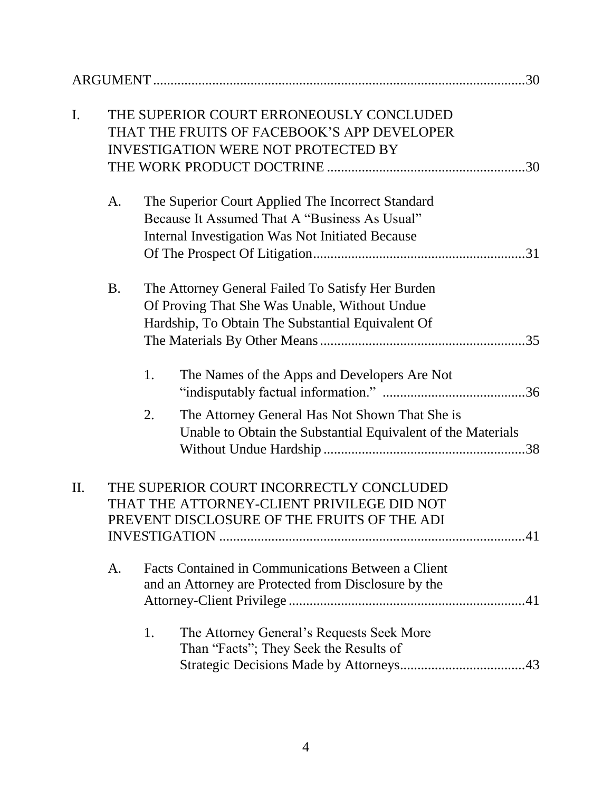| I.  |                                                                                                                                       |    | THE SUPERIOR COURT ERRONEOUSLY CONCLUDED<br>THAT THE FRUITS OF FACEBOOK'S APP DEVELOPER<br><b>INVESTIGATION WERE NOT PROTECTED BY</b>                   |  |
|-----|---------------------------------------------------------------------------------------------------------------------------------------|----|---------------------------------------------------------------------------------------------------------------------------------------------------------|--|
|     |                                                                                                                                       |    |                                                                                                                                                         |  |
|     | A.                                                                                                                                    |    | The Superior Court Applied The Incorrect Standard<br>Because It Assumed That A "Business As Usual"<br>Internal Investigation Was Not Initiated Because  |  |
|     | <b>B.</b>                                                                                                                             |    | The Attorney General Failed To Satisfy Her Burden<br>Of Proving That She Was Unable, Without Undue<br>Hardship, To Obtain The Substantial Equivalent Of |  |
|     |                                                                                                                                       | 1. | The Names of the Apps and Developers Are Not                                                                                                            |  |
|     |                                                                                                                                       | 2. | The Attorney General Has Not Shown That She is<br>Unable to Obtain the Substantial Equivalent of the Materials                                          |  |
| II. | THE SUPERIOR COURT INCORRECTLY CONCLUDED<br>THAT THE ATTORNEY-CLIENT PRIVILEGE DID NOT<br>PREVENT DISCLOSURE OF THE FRUITS OF THE ADI |    |                                                                                                                                                         |  |
|     | A.                                                                                                                                    |    | Facts Contained in Communications Between a Client<br>and an Attorney are Protected from Disclosure by the                                              |  |
|     |                                                                                                                                       | 1. | The Attorney General's Requests Seek More<br>Than "Facts"; They Seek the Results of                                                                     |  |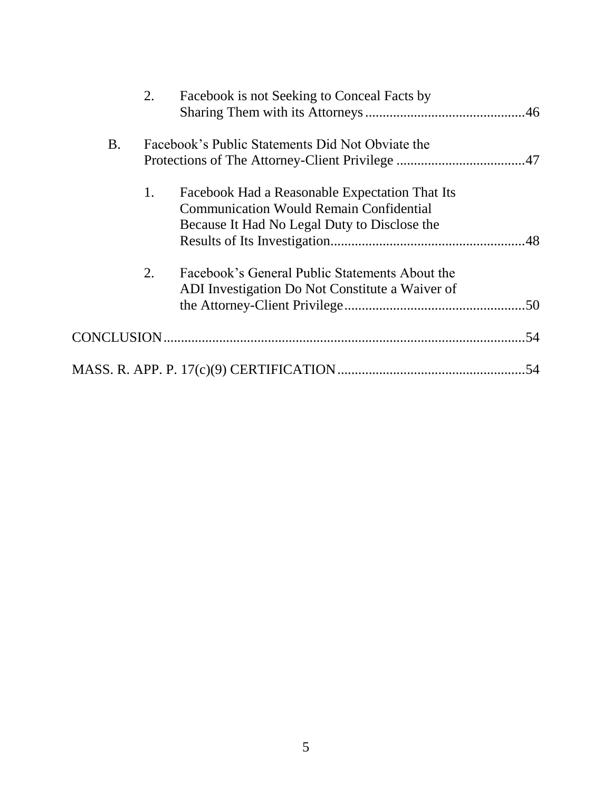|           | 2. | Facebook is not Seeking to Conceal Facts by                                                                                                      |  |
|-----------|----|--------------------------------------------------------------------------------------------------------------------------------------------------|--|
| <b>B.</b> |    | Facebook's Public Statements Did Not Obviate the                                                                                                 |  |
|           | 1. | Facebook Had a Reasonable Expectation That Its<br><b>Communication Would Remain Confidential</b><br>Because It Had No Legal Duty to Disclose the |  |
|           | 2. | Facebook's General Public Statements About the<br>ADI Investigation Do Not Constitute a Waiver of                                                |  |
|           |    |                                                                                                                                                  |  |
|           |    |                                                                                                                                                  |  |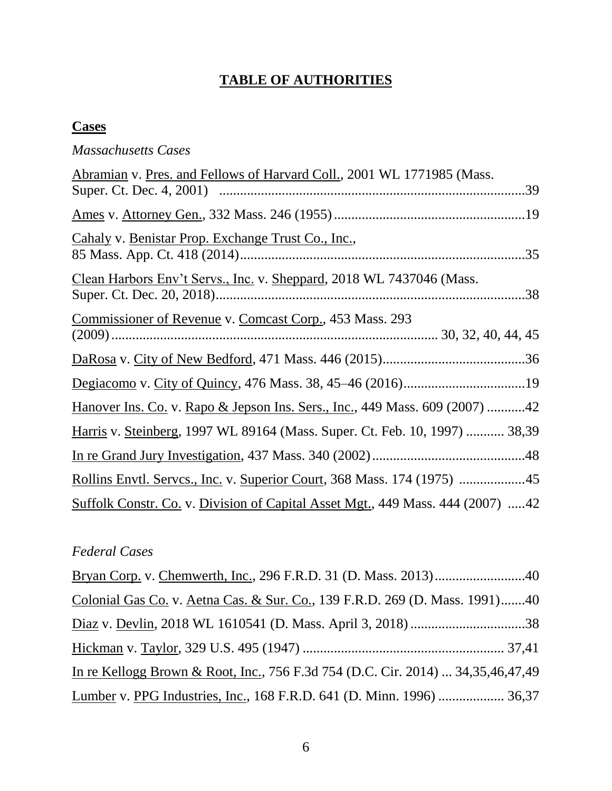## **TABLE OF AUTHORITIES**

## **Cases**

## *Massachusetts Cases*

| Abramian v. Pres. and Fellows of Harvard Coll., 2001 WL 1771985 (Mass.                |  |
|---------------------------------------------------------------------------------------|--|
|                                                                                       |  |
|                                                                                       |  |
| Cahaly v. Benistar Prop. Exchange Trust Co., Inc.,                                    |  |
| Clean Harbors Env't Servs., Inc. v. Sheppard, 2018 WL 7437046 (Mass.                  |  |
| Commissioner of Revenue v. Comcast Corp., 453 Mass. 293                               |  |
|                                                                                       |  |
|                                                                                       |  |
| <u>Hanover Ins. Co.</u> v. Rapo & Jepson Ins. Sers., Inc., 449 Mass. 609 (2007) 42    |  |
| Harris v. Steinberg, 1997 WL 89164 (Mass. Super. Ct. Feb. 10, 1997)  38,39            |  |
|                                                                                       |  |
| Rollins Envtl. Servcs., Inc. v. Superior Court, 368 Mass. 174 (1975) 45               |  |
| <u>Suffolk Constr. Co.</u> v. Division of Capital Asset Mgt., 449 Mass. 444 (2007) 42 |  |

## *Federal Cases*

| Colonial Gas Co. v. Aetna Cas. & Sur. Co., 139 F.R.D. 269 (D. Mass. 1991)40     |  |
|---------------------------------------------------------------------------------|--|
|                                                                                 |  |
|                                                                                 |  |
| In re Kellogg Brown & Root, Inc., 756 F.3d 754 (D.C. Cir. 2014)  34,35,46,47,49 |  |
| Lumber v. PPG Industries, Inc., 168 F.R.D. 641 (D. Minn. 1996)  36,37           |  |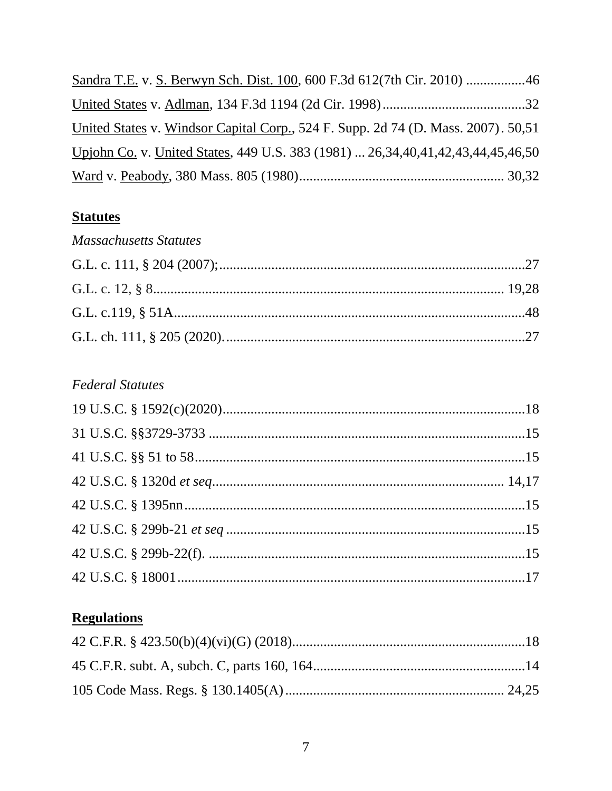| United States v. Windsor Capital Corp., 524 F. Supp. 2d 74 (D. Mass. 2007). 50,51        |  |
|------------------------------------------------------------------------------------------|--|
| Upjohn Co. v. United States, 449 U.S. 383 (1981)  26, 34, 40, 41, 42, 43, 44, 45, 46, 50 |  |
|                                                                                          |  |

## **Statutes**

| <b>Massachusetts Statutes</b> |  |
|-------------------------------|--|
|                               |  |
|                               |  |
|                               |  |
|                               |  |

## **Federal Statutes**

# **Regulations**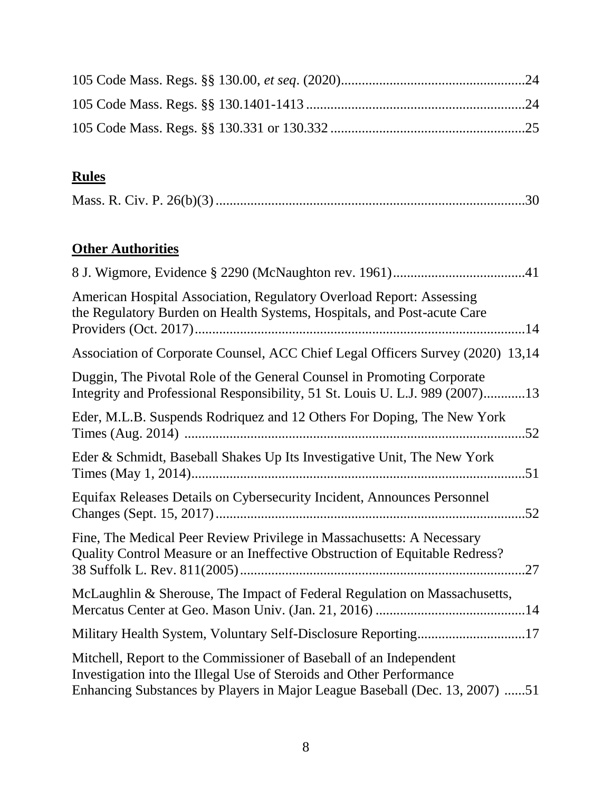# **Rules**

|--|--|

# **Other Authorities**

| American Hospital Association, Regulatory Overload Report: Assessing<br>the Regulatory Burden on Health Systems, Hospitals, and Post-acute Care                                                                           |
|---------------------------------------------------------------------------------------------------------------------------------------------------------------------------------------------------------------------------|
| Association of Corporate Counsel, ACC Chief Legal Officers Survey (2020) 13,14                                                                                                                                            |
| Duggin, The Pivotal Role of the General Counsel in Promoting Corporate<br>Integrity and Professional Responsibility, 51 St. Louis U. L.J. 989 (2007)13                                                                    |
| Eder, M.L.B. Suspends Rodriquez and 12 Others For Doping, The New York                                                                                                                                                    |
| Eder & Schmidt, Baseball Shakes Up Its Investigative Unit, The New York                                                                                                                                                   |
| Equifax Releases Details on Cybersecurity Incident, Announces Personnel                                                                                                                                                   |
| Fine, The Medical Peer Review Privilege in Massachusetts: A Necessary<br>Quality Control Measure or an Ineffective Obstruction of Equitable Redress?<br>.27                                                               |
| McLaughlin & Sherouse, The Impact of Federal Regulation on Massachusetts,                                                                                                                                                 |
| Military Health System, Voluntary Self-Disclosure Reporting17                                                                                                                                                             |
| Mitchell, Report to the Commissioner of Baseball of an Independent<br>Investigation into the Illegal Use of Steroids and Other Performance<br>Enhancing Substances by Players in Major League Baseball (Dec. 13, 2007) 51 |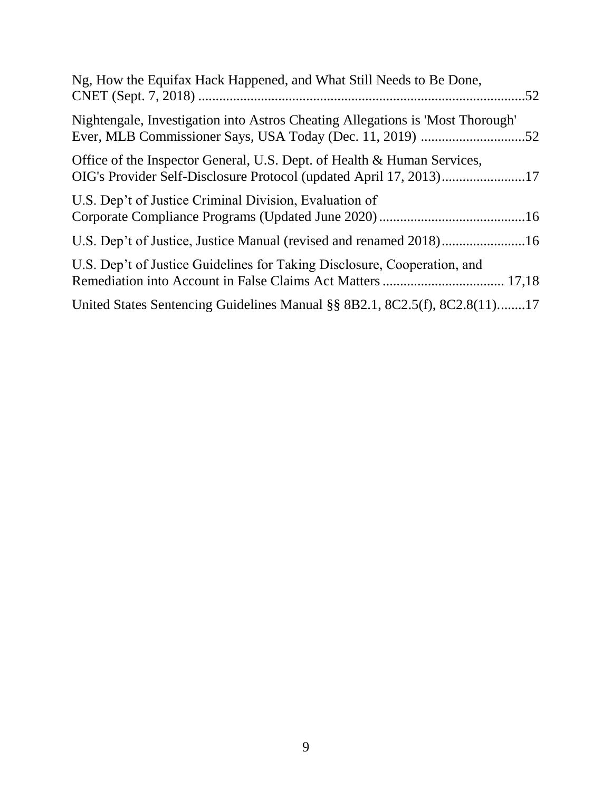| Ng, How the Equifax Hack Happened, and What Still Needs to Be Done,                                                                           |  |
|-----------------------------------------------------------------------------------------------------------------------------------------------|--|
| Nightengale, Investigation into Astros Cheating Allegations is 'Most Thorough'                                                                |  |
| Office of the Inspector General, U.S. Dept. of Health & Human Services,<br>OIG's Provider Self-Disclosure Protocol (updated April 17, 2013)17 |  |
| U.S. Dep't of Justice Criminal Division, Evaluation of                                                                                        |  |
| U.S. Dep't of Justice, Justice Manual (revised and renamed 2018)16                                                                            |  |
| U.S. Dep't of Justice Guidelines for Taking Disclosure, Cooperation, and                                                                      |  |
| United States Sentencing Guidelines Manual §§ 8B2.1, 8C2.5(f), 8C2.8(11)17                                                                    |  |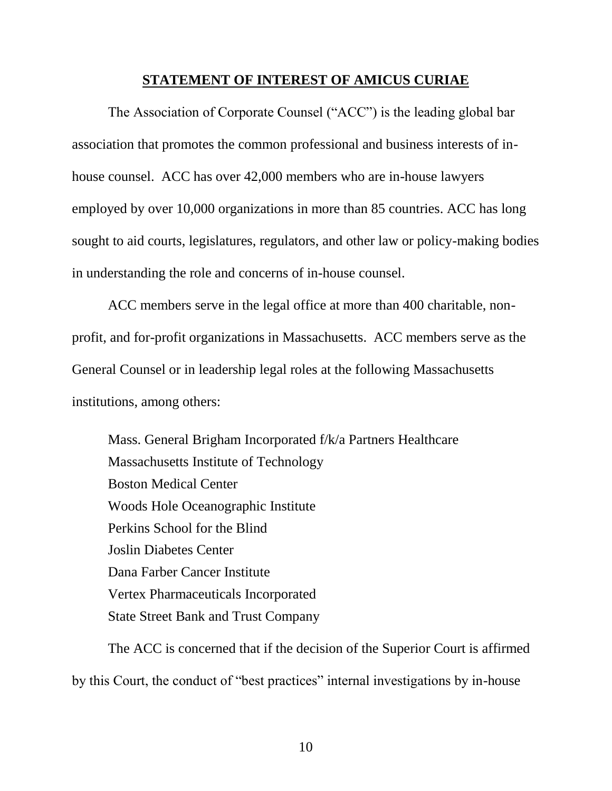#### **STATEMENT OF INTEREST OF AMICUS CURIAE**

The Association of Corporate Counsel ("ACC") is the leading global bar association that promotes the common professional and business interests of inhouse counsel. ACC has over 42,000 members who are in-house lawyers employed by over 10,000 organizations in more than 85 countries. ACC has long sought to aid courts, legislatures, regulators, and other law or policy-making bodies in understanding the role and concerns of in-house counsel.

ACC members serve in the legal office at more than 400 charitable, nonprofit, and for-profit organizations in Massachusetts. ACC members serve as the General Counsel or in leadership legal roles at the following Massachusetts institutions, among others:

Mass. General Brigham Incorporated f/k/a Partners Healthcare Massachusetts Institute of Technology Boston Medical Center Woods Hole Oceanographic Institute Perkins School for the Blind Joslin Diabetes Center Dana Farber Cancer Institute Vertex Pharmaceuticals Incorporated State Street Bank and Trust Company

The ACC is concerned that if the decision of the Superior Court is affirmed by this Court, the conduct of "best practices" internal investigations by in-house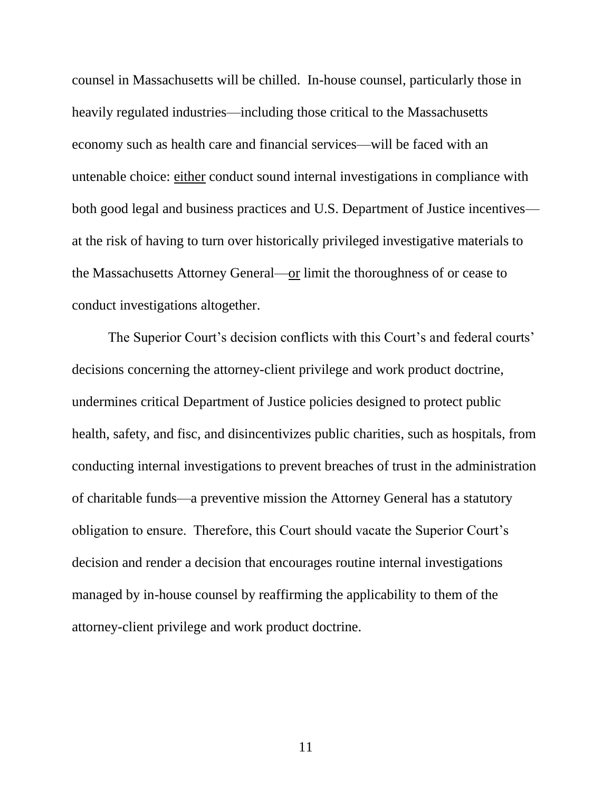counsel in Massachusetts will be chilled. In-house counsel, particularly those in heavily regulated industries—including those critical to the Massachusetts economy such as health care and financial services—will be faced with an untenable choice: either conduct sound internal investigations in compliance with both good legal and business practices and U.S. Department of Justice incentives at the risk of having to turn over historically privileged investigative materials to the Massachusetts Attorney General—or limit the thoroughness of or cease to conduct investigations altogether.

The Superior Court's decision conflicts with this Court's and federal courts' decisions concerning the attorney-client privilege and work product doctrine, undermines critical Department of Justice policies designed to protect public health, safety, and fisc, and disincentivizes public charities, such as hospitals, from conducting internal investigations to prevent breaches of trust in the administration of charitable funds—a preventive mission the Attorney General has a statutory obligation to ensure. Therefore, this Court should vacate the Superior Court's decision and render a decision that encourages routine internal investigations managed by in-house counsel by reaffirming the applicability to them of the attorney-client privilege and work product doctrine.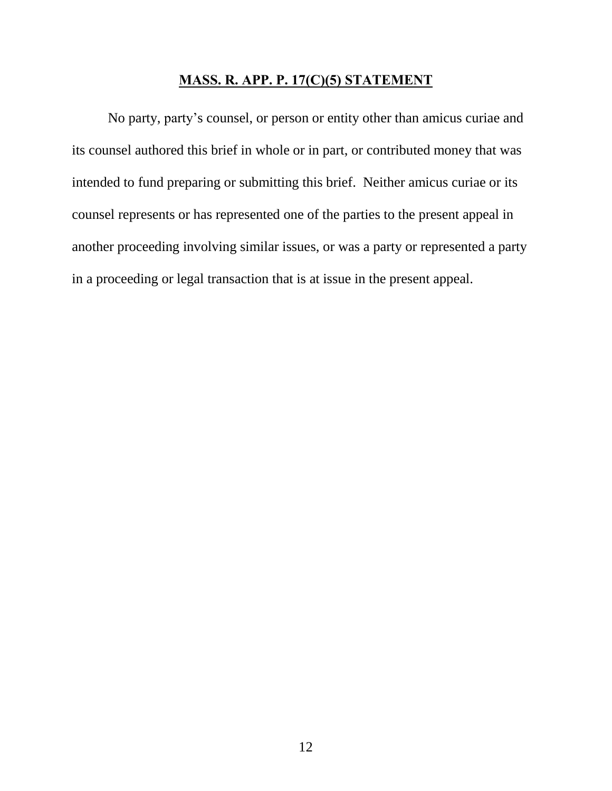#### **MASS. R. APP. P. 17(C)(5) STATEMENT**

No party, party's counsel, or person or entity other than amicus curiae and its counsel authored this brief in whole or in part, or contributed money that was intended to fund preparing or submitting this brief. Neither amicus curiae or its counsel represents or has represented one of the parties to the present appeal in another proceeding involving similar issues, or was a party or represented a party in a proceeding or legal transaction that is at issue in the present appeal.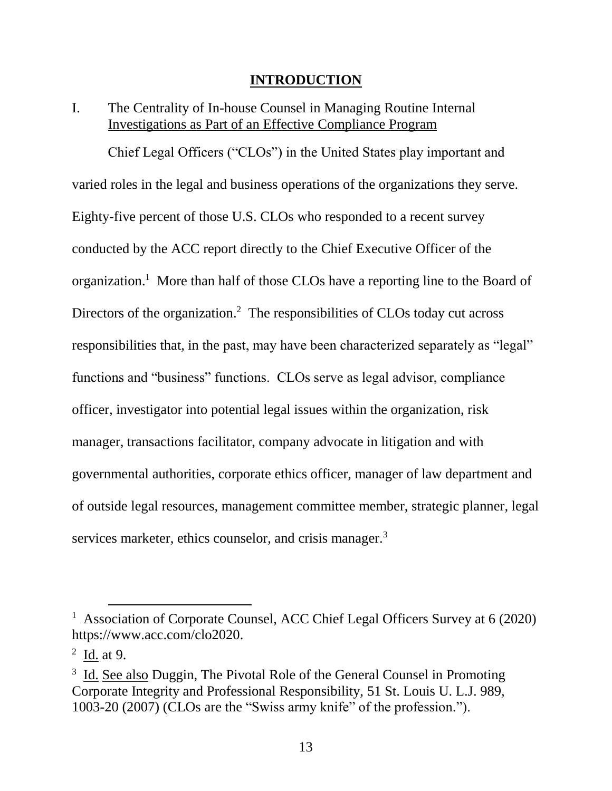#### **INTRODUCTION**

## I. The Centrality of In-house Counsel in Managing Routine Internal Investigations as Part of an Effective Compliance Program

Chief Legal Officers ("CLOs") in the United States play important and varied roles in the legal and business operations of the organizations they serve. Eighty-five percent of those U.S. CLOs who responded to a recent survey conducted by the ACC report directly to the Chief Executive Officer of the organization.<sup>1</sup> More than half of those CLOs have a reporting line to the Board of Directors of the organization.<sup>2</sup> The responsibilities of CLOs today cut across responsibilities that, in the past, may have been characterized separately as "legal" functions and "business" functions. CLOs serve as legal advisor, compliance officer, investigator into potential legal issues within the organization, risk manager, transactions facilitator, company advocate in litigation and with governmental authorities, corporate ethics officer, manager of law department and of outside legal resources, management committee member, strategic planner, legal services marketer, ethics counselor, and crisis manager.<sup>3</sup>

<sup>&</sup>lt;sup>1</sup> Association of Corporate Counsel, ACC Chief Legal Officers Survey at 6 (2020) https://www.acc.com/clo2020.

 $2 \underline{\text{Id.}}$  at 9.

 $3 \text{ Id.}$  See also Duggin, The Pivotal Role of the General Counsel in Promoting Corporate Integrity and Professional Responsibility, 51 St. Louis U. L.J. 989, 1003-20 (2007) (CLOs are the "Swiss army knife" of the profession.").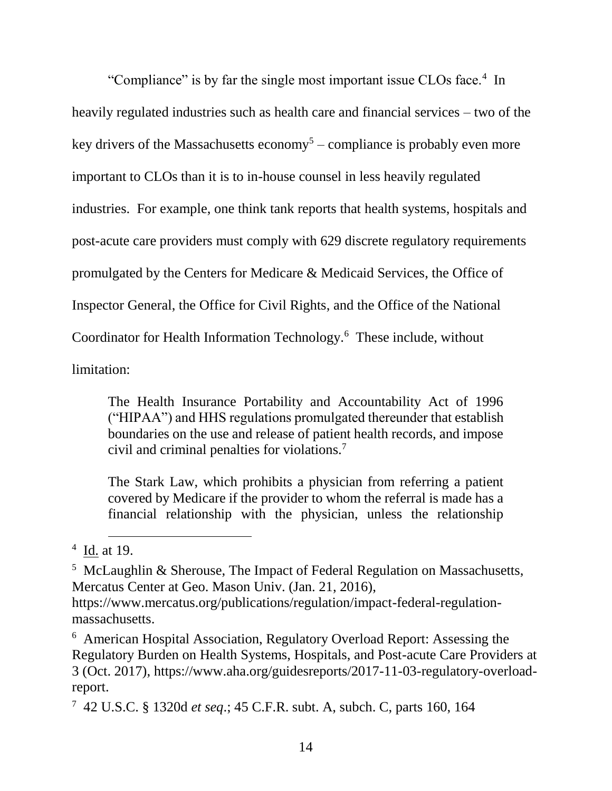"Compliance" is by far the single most important issue CLOs face.<sup>4</sup> In heavily regulated industries such as health care and financial services – two of the key drivers of the Massachusetts economy<sup>5</sup> – compliance is probably even more important to CLOs than it is to in-house counsel in less heavily regulated industries. For example, one think tank reports that health systems, hospitals and post-acute care providers must comply with 629 discrete regulatory requirements promulgated by the Centers for Medicare & Medicaid Services, the Office of Inspector General, the Office for Civil Rights, and the Office of the National Coordinator for Health Information Technology.<sup>6</sup> These include, without

limitation:

The Health Insurance Portability and Accountability Act of 1996 ("HIPAA") and HHS regulations promulgated thereunder that establish boundaries on the use and release of patient health records, and impose civil and criminal penalties for violations.<sup>7</sup>

The Stark Law, which prohibits a physician from referring a patient covered by Medicare if the provider to whom the referral is made has a financial relationship with the physician, unless the relationship

 $4 \underline{Id}$  at 19.

<sup>&</sup>lt;sup>5</sup> McLaughlin & Sherouse, The Impact of Federal Regulation on Massachusetts, Mercatus Center at Geo. Mason Univ. (Jan. 21, 2016),

https://www.mercatus.org/publications/regulation/impact-federal-regulationmassachusetts.

<sup>6</sup> American Hospital Association, Regulatory Overload Report: Assessing the Regulatory Burden on Health Systems, Hospitals, and Post-acute Care Providers at 3 (Oct. 2017), [https://www.aha.org/guidesreports/2017-11-03-regulatory-overload](https://www.aha.org/guidesreports/2017-11-03-regulatory-overload-report)[report.](https://www.aha.org/guidesreports/2017-11-03-regulatory-overload-report)

<sup>7</sup> 42 U.S.C. § 1320d *et seq*.; 45 C.F.R. subt. A, subch. C, parts 160, 164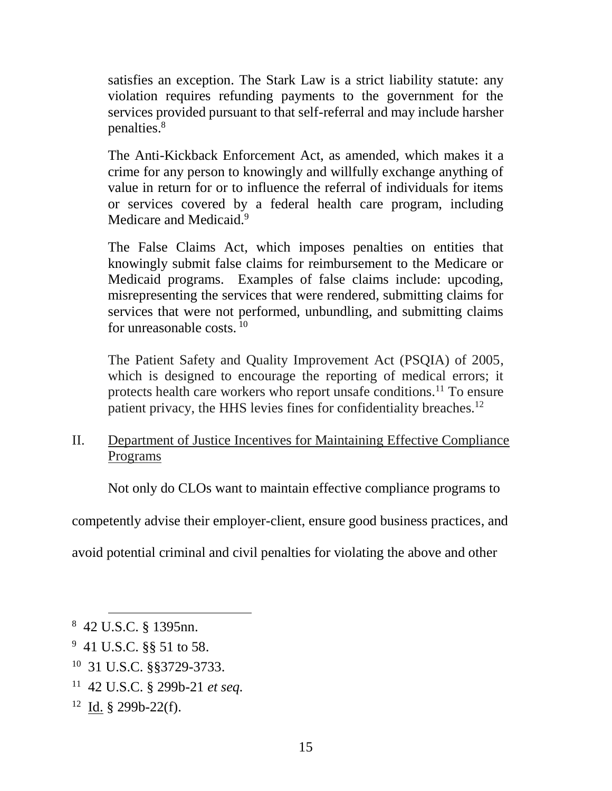satisfies an exception. The Stark Law is a strict liability statute: any violation requires refunding payments to the government for the services provided pursuant to that self-referral and may include harsher penalties.<sup>8</sup>

The Anti-Kickback Enforcement Act, as amended, which makes it a crime for any person to knowingly and willfully exchange anything of value in return for or to influence the referral of individuals for items or services covered by a federal health care program, including Medicare and Medicaid.<sup>9</sup>

The False Claims Act, which imposes penalties on entities that knowingly submit false claims for reimbursement to the Medicare or Medicaid programs. Examples of false claims include: upcoding, misrepresenting the services that were rendered, submitting claims for services that were not performed, unbundling, and submitting claims for unreasonable costs.  $10<sup>10</sup>$ 

The Patient Safety and Quality Improvement Act (PSQIA) of 2005, which is designed to encourage the reporting of medical errors; it protects health care workers who report unsafe conditions.<sup>11</sup> To ensure patient privacy, the HHS levies fines for confidentiality breaches.<sup>12</sup>

II. Department of Justice Incentives for Maintaining Effective Compliance Programs

Not only do CLOs want to maintain effective compliance programs to

competently advise their employer-client, ensure good business practices, and

avoid potential criminal and civil penalties for violating the above and other

- $9$  41 U.S.C. §§ 51 to 58.
- 10 31 U.S.C. §§3729-3733.
- 11 42 U.S.C. § 299b-21 *et seq.*
- $12 \underline{Id.}$  § 299b-22(f).

<sup>8</sup> 42 U.S.C. § 1395nn.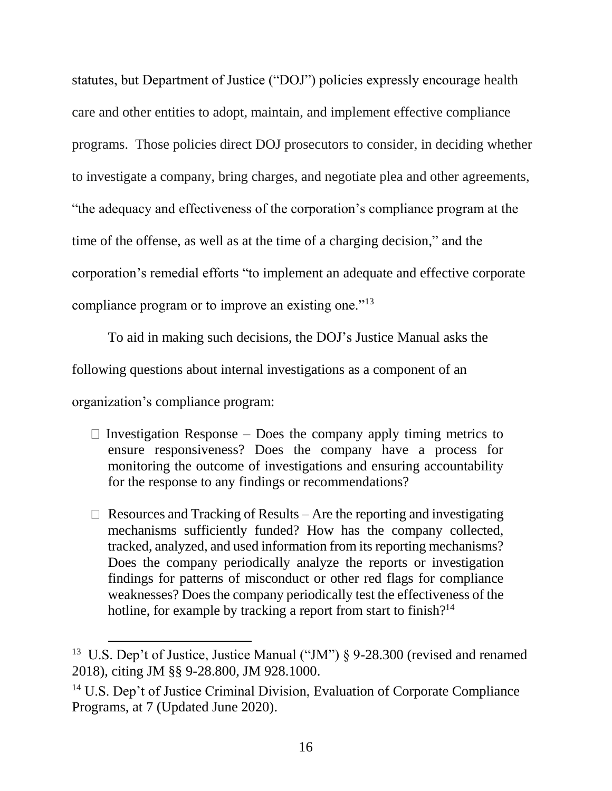statutes, but Department of Justice ("DOJ") policies expressly encourage health care and other entities to adopt, maintain, and implement effective compliance programs. Those policies direct DOJ prosecutors to consider, in deciding whether to investigate a company, bring charges, and negotiate plea and other agreements, "the adequacy and effectiveness of the corporation's compliance program at the time of the offense, as well as at the time of a charging decision," and the corporation's remedial efforts "to implement an adequate and effective corporate compliance program or to improve an existing one."<sup>13</sup>

To aid in making such decisions, the DOJ's Justice Manual asks the following questions about internal investigations as a component of an organization's compliance program:

- $\Box$  Investigation Response Does the company apply timing metrics to ensure responsiveness? Does the company have a process for monitoring the outcome of investigations and ensuring accountability for the response to any findings or recommendations?
- $\Box$  Resources and Tracking of Results Are the reporting and investigating mechanisms sufficiently funded? How has the company collected, tracked, analyzed, and used information from its reporting mechanisms? Does the company periodically analyze the reports or investigation findings for patterns of misconduct or other red flags for compliance weaknesses? Does the company periodically test the effectiveness of the hotline, for example by tracking a report from start to finish?<sup>14</sup>

<sup>&</sup>lt;sup>13</sup> U.S. Dep't of Justice, Justice Manual ("JM") § 9-28.300 (revised and renamed 2018), citing JM §§ 9-28.800, JM 928.1000.

<sup>14</sup> U.S. Dep't of Justice Criminal Division, Evaluation of Corporate Compliance Programs, at 7 (Updated June 2020).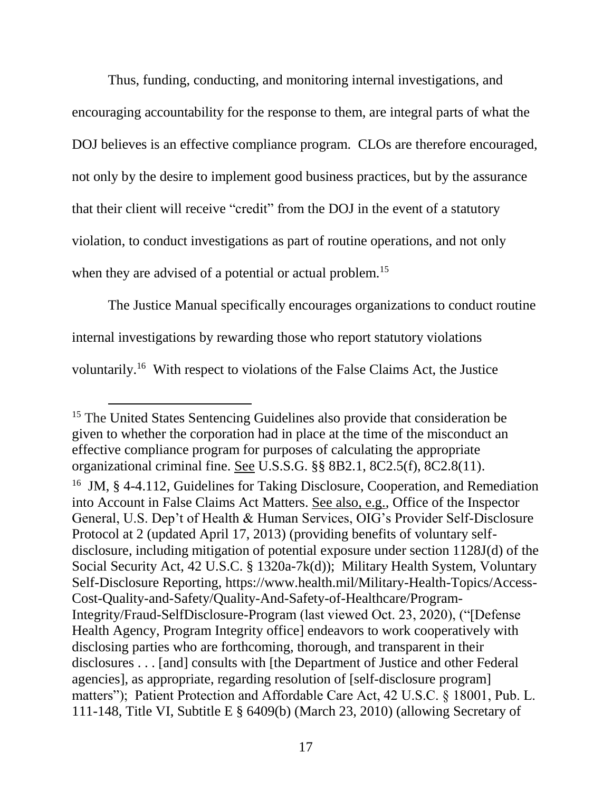Thus, funding, conducting, and monitoring internal investigations, and encouraging accountability for the response to them, are integral parts of what the DOJ believes is an effective compliance program. CLOs are therefore encouraged, not only by the desire to implement good business practices, but by the assurance that their client will receive "credit" from the DOJ in the event of a statutory violation, to conduct investigations as part of routine operations, and not only when they are advised of a potential or actual problem.<sup>15</sup>

The Justice Manual specifically encourages organizations to conduct routine internal investigations by rewarding those who report statutory violations voluntarily.<sup>16</sup> With respect to violations of the False Claims Act, the Justice

<sup>&</sup>lt;sup>15</sup> The United States Sentencing Guidelines also provide that consideration be given to whether the corporation had in place at the time of the misconduct an effective compliance program for purposes of calculating the appropriate organizational criminal fine. See U.S.S.G. §§ 8B2.1, 8C2.5(f), 8C2.8(11).

<sup>&</sup>lt;sup>16</sup> JM, § 4-4.112, Guidelines for Taking Disclosure, Cooperation, and Remediation into Account in False Claims Act Matters. See also, e.g., Office of the Inspector General, U.S. Dep't of Health & Human Services, OIG's Provider Self-Disclosure Protocol at 2 (updated April 17, 2013) (providing benefits of voluntary selfdisclosure, including mitigation of potential exposure under section 1128J(d) of the Social Security Act, 42 U.S.C. § 1320a-7k(d)); Military Health System, Voluntary Self-Disclosure Reporting, [https://www.health.mil/Military-Health-Topics/Access-](https://www.health.mil/Military-Health-Topics/Access-Cost-Quality-and-Safety/Quality-And-Safety-of-Healthcare/Program-Integrity/Fraud-SelfDisclosure-Program)[Cost-Quality-and-Safety/Quality-And-Safety-of-Healthcare/Program-](https://www.health.mil/Military-Health-Topics/Access-Cost-Quality-and-Safety/Quality-And-Safety-of-Healthcare/Program-Integrity/Fraud-SelfDisclosure-Program)[Integrity/Fraud-SelfDisclosure-Program](https://www.health.mil/Military-Health-Topics/Access-Cost-Quality-and-Safety/Quality-And-Safety-of-Healthcare/Program-Integrity/Fraud-SelfDisclosure-Program) (last viewed Oct. 23, 2020), ("[Defense Health Agency, Program Integrity office] endeavors to work cooperatively with disclosing parties who are forthcoming, thorough, and transparent in their disclosures . . . [and] consults with [the Department of Justice and other Federal agencies], as appropriate, regarding resolution of [self-disclosure program] matters"); Patient Protection and Affordable Care Act, 42 U.S.C. § 18001, Pub. L. 111-148, Title VI, Subtitle E § 6409(b) (March 23, 2010) (allowing Secretary of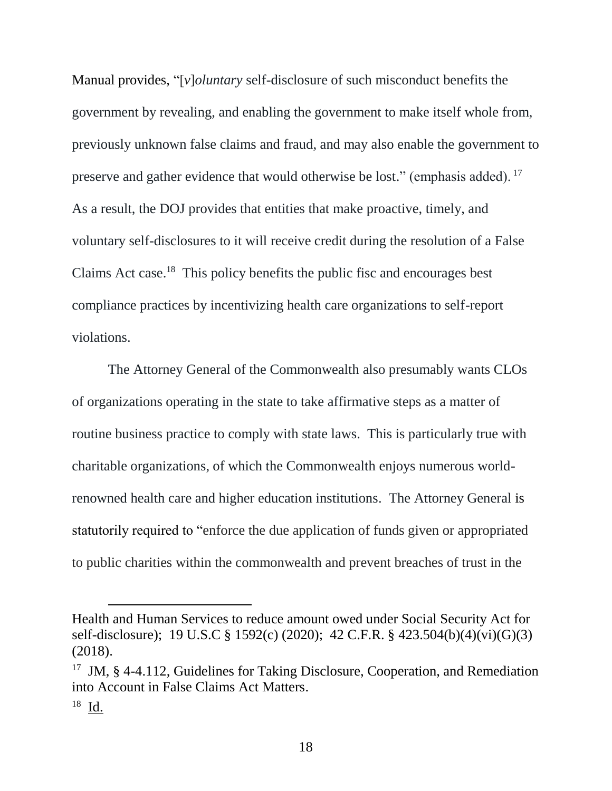Manual provides, "[*v*]*oluntary* self-disclosure of such misconduct benefits the government by revealing, and enabling the government to make itself whole from, previously unknown false claims and fraud, and may also enable the government to preserve and gather evidence that would otherwise be lost." (emphasis added). <sup>17</sup> As a result, the DOJ provides that entities that make proactive, timely, and voluntary self-disclosures to it will receive credit during the resolution of a False Claims Act case.<sup>18</sup> This policy benefits the public fisc and encourages best compliance practices by incentivizing health care organizations to self-report violations.

The Attorney General of the Commonwealth also presumably wants CLOs of organizations operating in the state to take affirmative steps as a matter of routine business practice to comply with state laws. This is particularly true with charitable organizations, of which the Commonwealth enjoys numerous worldrenowned health care and higher education institutions. The Attorney General is statutorily required to "enforce the due application of funds given or appropriated to public charities within the commonwealth and prevent breaches of trust in the

Health and Human Services to reduce amount owed under Social Security Act for self-disclosure); 19 U.S.C § 1592(c) (2020); 42 C.F.R. § 423.504(b)(4)(vi)(G)(3) (2018).

<sup>&</sup>lt;sup>17</sup> JM, § 4-4.112, Guidelines for Taking Disclosure, Cooperation, and Remediation into Account in False Claims Act Matters.

 $18$   $\underline{Id}$ .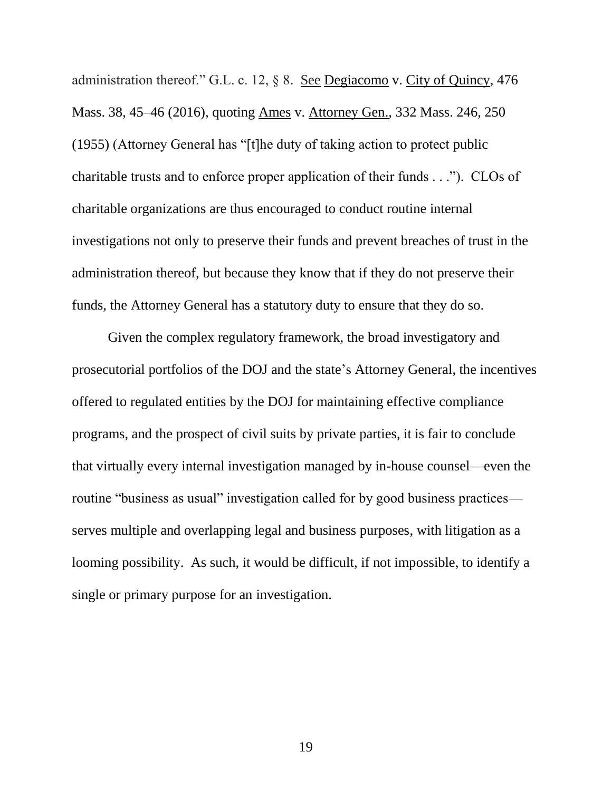administration thereof." G.L. c. 12, § 8. See Degiacomo v. City of Quincy, 476 Mass. 38, 45–46 (2016), quoting Ames v. Attorney Gen.*,* 332 Mass. 246, 250 (1955) (Attorney General has "[t]he duty of taking action to protect public charitable trusts and to enforce proper application of their funds . . ."). CLOs of charitable organizations are thus encouraged to conduct routine internal investigations not only to preserve their funds and prevent breaches of trust in the administration thereof, but because they know that if they do not preserve their funds, the Attorney General has a statutory duty to ensure that they do so.

Given the complex regulatory framework, the broad investigatory and prosecutorial portfolios of the DOJ and the state's Attorney General, the incentives offered to regulated entities by the DOJ for maintaining effective compliance programs, and the prospect of civil suits by private parties, it is fair to conclude that virtually every internal investigation managed by in-house counsel—even the routine "business as usual" investigation called for by good business practices serves multiple and overlapping legal and business purposes, with litigation as a looming possibility. As such, it would be difficult, if not impossible, to identify a single or primary purpose for an investigation.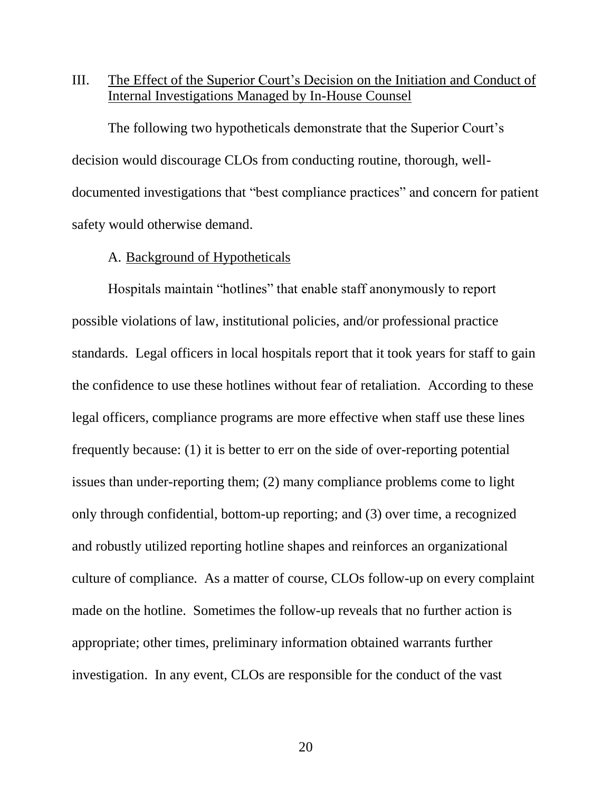### III. The Effect of the Superior Court's Decision on the Initiation and Conduct of Internal Investigations Managed by In-House Counsel

The following two hypotheticals demonstrate that the Superior Court's decision would discourage CLOs from conducting routine, thorough, welldocumented investigations that "best compliance practices" and concern for patient safety would otherwise demand.

#### A. Background of Hypotheticals

Hospitals maintain "hotlines" that enable staff anonymously to report possible violations of law, institutional policies, and/or professional practice standards. Legal officers in local hospitals report that it took years for staff to gain the confidence to use these hotlines without fear of retaliation. According to these legal officers, compliance programs are more effective when staff use these lines frequently because: (1) it is better to err on the side of over-reporting potential issues than under-reporting them; (2) many compliance problems come to light only through confidential, bottom-up reporting; and (3) over time, a recognized and robustly utilized reporting hotline shapes and reinforces an organizational culture of compliance. As a matter of course, CLOs follow-up on every complaint made on the hotline. Sometimes the follow-up reveals that no further action is appropriate; other times, preliminary information obtained warrants further investigation. In any event, CLOs are responsible for the conduct of the vast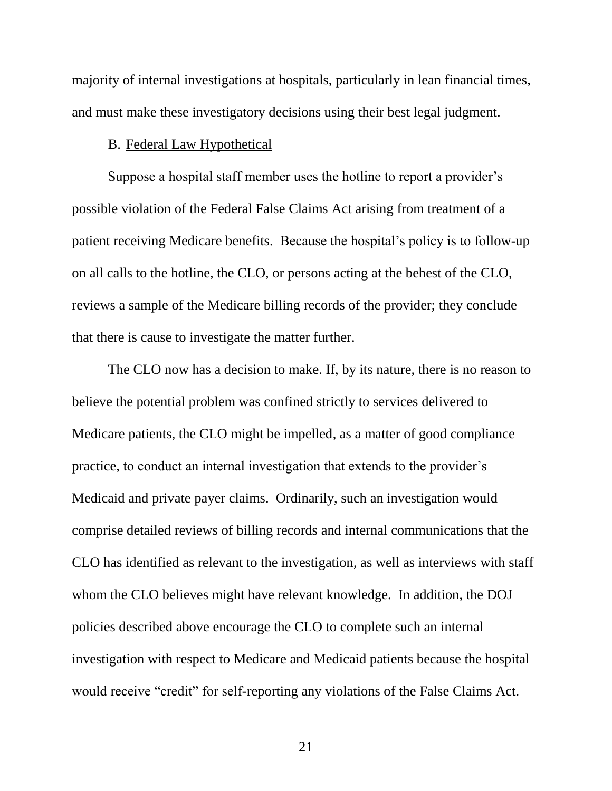majority of internal investigations at hospitals, particularly in lean financial times, and must make these investigatory decisions using their best legal judgment.

#### B. Federal Law Hypothetical

Suppose a hospital staff member uses the hotline to report a provider's possible violation of the Federal False Claims Act arising from treatment of a patient receiving Medicare benefits. Because the hospital's policy is to follow-up on all calls to the hotline, the CLO, or persons acting at the behest of the CLO, reviews a sample of the Medicare billing records of the provider; they conclude that there is cause to investigate the matter further.

The CLO now has a decision to make. If, by its nature, there is no reason to believe the potential problem was confined strictly to services delivered to Medicare patients, the CLO might be impelled, as a matter of good compliance practice, to conduct an internal investigation that extends to the provider's Medicaid and private payer claims. Ordinarily, such an investigation would comprise detailed reviews of billing records and internal communications that the CLO has identified as relevant to the investigation, as well as interviews with staff whom the CLO believes might have relevant knowledge. In addition, the DOJ policies described above encourage the CLO to complete such an internal investigation with respect to Medicare and Medicaid patients because the hospital would receive "credit" for self-reporting any violations of the False Claims Act.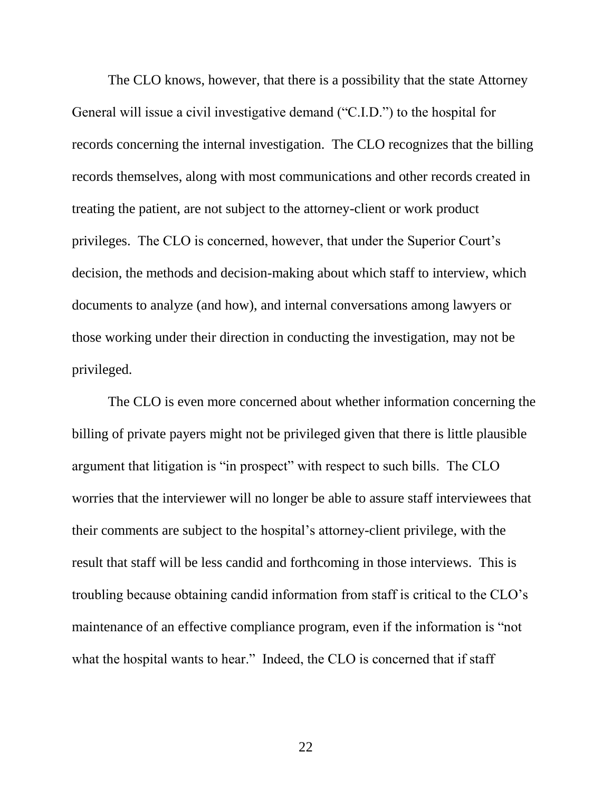The CLO knows, however, that there is a possibility that the state Attorney General will issue a civil investigative demand ("C.I.D.") to the hospital for records concerning the internal investigation. The CLO recognizes that the billing records themselves, along with most communications and other records created in treating the patient, are not subject to the attorney-client or work product privileges. The CLO is concerned, however, that under the Superior Court's decision, the methods and decision-making about which staff to interview, which documents to analyze (and how), and internal conversations among lawyers or those working under their direction in conducting the investigation, may not be privileged.

The CLO is even more concerned about whether information concerning the billing of private payers might not be privileged given that there is little plausible argument that litigation is "in prospect" with respect to such bills. The CLO worries that the interviewer will no longer be able to assure staff interviewees that their comments are subject to the hospital's attorney-client privilege, with the result that staff will be less candid and forthcoming in those interviews. This is troubling because obtaining candid information from staff is critical to the CLO's maintenance of an effective compliance program, even if the information is "not what the hospital wants to hear." Indeed, the CLO is concerned that if staff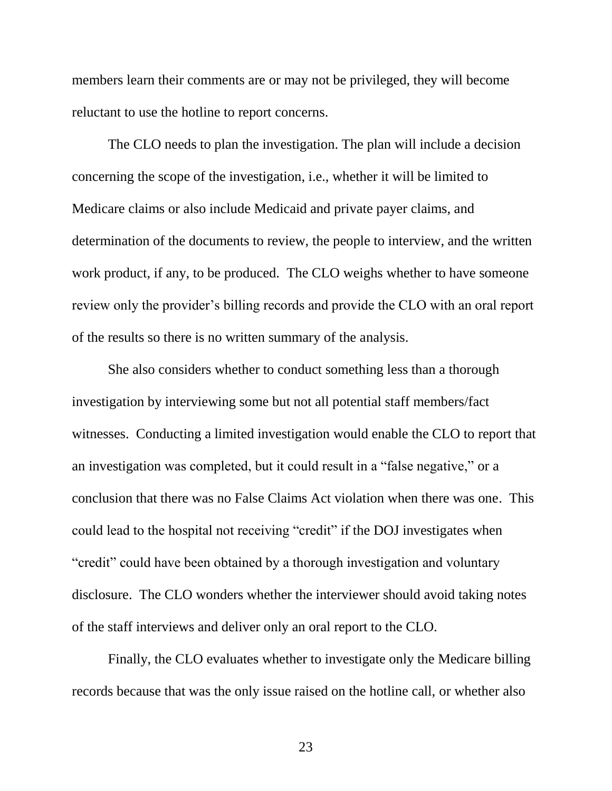members learn their comments are or may not be privileged, they will become reluctant to use the hotline to report concerns.

The CLO needs to plan the investigation. The plan will include a decision concerning the scope of the investigation, i.e., whether it will be limited to Medicare claims or also include Medicaid and private payer claims, and determination of the documents to review, the people to interview, and the written work product, if any, to be produced. The CLO weighs whether to have someone review only the provider's billing records and provide the CLO with an oral report of the results so there is no written summary of the analysis.

She also considers whether to conduct something less than a thorough investigation by interviewing some but not all potential staff members/fact witnesses. Conducting a limited investigation would enable the CLO to report that an investigation was completed, but it could result in a "false negative," or a conclusion that there was no False Claims Act violation when there was one. This could lead to the hospital not receiving "credit" if the DOJ investigates when "credit" could have been obtained by a thorough investigation and voluntary disclosure. The CLO wonders whether the interviewer should avoid taking notes of the staff interviews and deliver only an oral report to the CLO.

Finally, the CLO evaluates whether to investigate only the Medicare billing records because that was the only issue raised on the hotline call, or whether also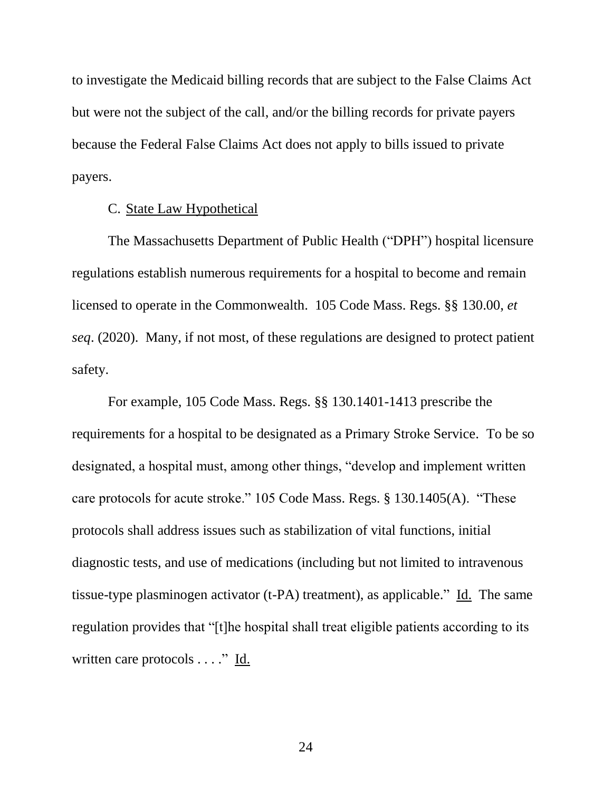to investigate the Medicaid billing records that are subject to the False Claims Act but were not the subject of the call, and/or the billing records for private payers because the Federal False Claims Act does not apply to bills issued to private payers.

#### C. State Law Hypothetical

The Massachusetts Department of Public Health ("DPH") hospital licensure regulations establish numerous requirements for a hospital to become and remain licensed to operate in the Commonwealth. 105 Code Mass. Regs. §§ 130.00, *et seq*. (2020). Many, if not most, of these regulations are designed to protect patient safety.

For example, 105 Code Mass. Regs. §§ 130.1401-1413 prescribe the requirements for a hospital to be designated as a Primary Stroke Service. To be so designated, a hospital must, among other things, "develop and implement written care protocols for acute stroke." 105 Code Mass. Regs. § 130.1405(A). "These protocols shall address issues such as stabilization of vital functions, initial diagnostic tests, and use of medications (including but not limited to intravenous tissue-type plasminogen activator (t-PA) treatment), as applicable." Id. The same regulation provides that "[t]he hospital shall treat eligible patients according to its written care protocols . . . ." Id.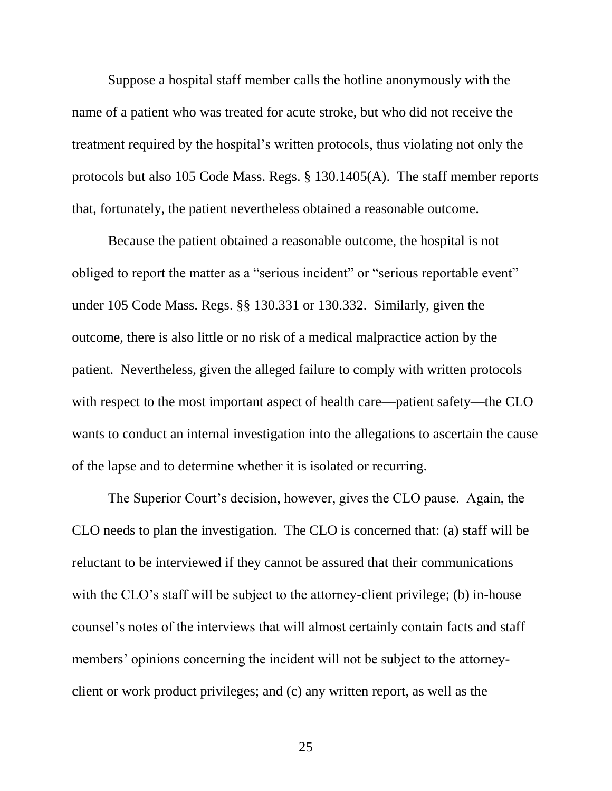Suppose a hospital staff member calls the hotline anonymously with the name of a patient who was treated for acute stroke, but who did not receive the treatment required by the hospital's written protocols, thus violating not only the protocols but also 105 Code Mass. Regs. § 130.1405(A). The staff member reports that, fortunately, the patient nevertheless obtained a reasonable outcome.

Because the patient obtained a reasonable outcome, the hospital is not obliged to report the matter as a "serious incident" or "serious reportable event" under 105 Code Mass. Regs. §§ 130.331 or 130.332. Similarly, given the outcome, there is also little or no risk of a medical malpractice action by the patient. Nevertheless, given the alleged failure to comply with written protocols with respect to the most important aspect of health care—patient safety—the CLO wants to conduct an internal investigation into the allegations to ascertain the cause of the lapse and to determine whether it is isolated or recurring.

The Superior Court's decision, however, gives the CLO pause. Again, the CLO needs to plan the investigation. The CLO is concerned that: (a) staff will be reluctant to be interviewed if they cannot be assured that their communications with the CLO's staff will be subject to the attorney-client privilege; (b) in-house counsel's notes of the interviews that will almost certainly contain facts and staff members' opinions concerning the incident will not be subject to the attorneyclient or work product privileges; and (c) any written report, as well as the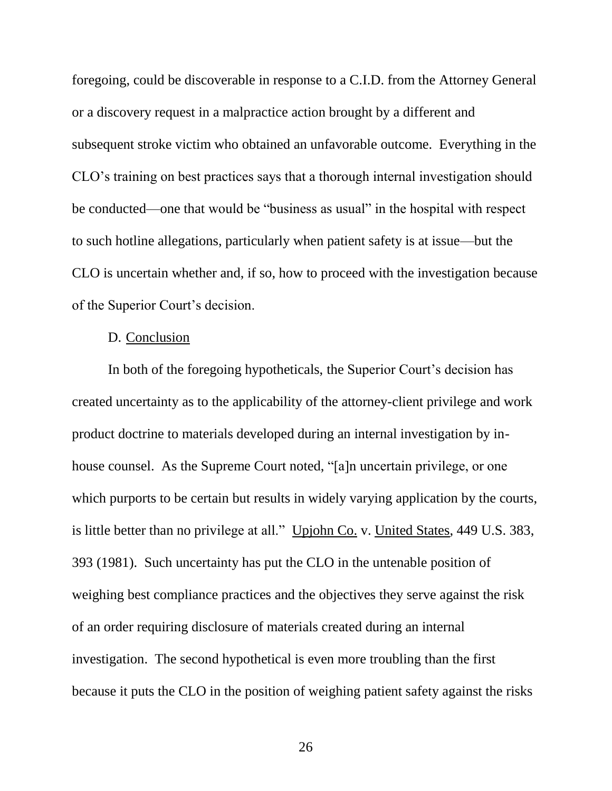foregoing, could be discoverable in response to a C.I.D. from the Attorney General or a discovery request in a malpractice action brought by a different and subsequent stroke victim who obtained an unfavorable outcome. Everything in the CLO's training on best practices says that a thorough internal investigation should be conducted—one that would be "business as usual" in the hospital with respect to such hotline allegations, particularly when patient safety is at issue—but the CLO is uncertain whether and, if so, how to proceed with the investigation because of the Superior Court's decision.

### D. Conclusion

In both of the foregoing hypotheticals, the Superior Court's decision has created uncertainty as to the applicability of the attorney-client privilege and work product doctrine to materials developed during an internal investigation by inhouse counsel. As the Supreme Court noted, "[a]n uncertain privilege, or one which purports to be certain but results in widely varying application by the courts, is little better than no privilege at all." Upjohn Co. v. United States, 449 U.S. 383, 393 (1981). Such uncertainty has put the CLO in the untenable position of weighing best compliance practices and the objectives they serve against the risk of an order requiring disclosure of materials created during an internal investigation. The second hypothetical is even more troubling than the first because it puts the CLO in the position of weighing patient safety against the risks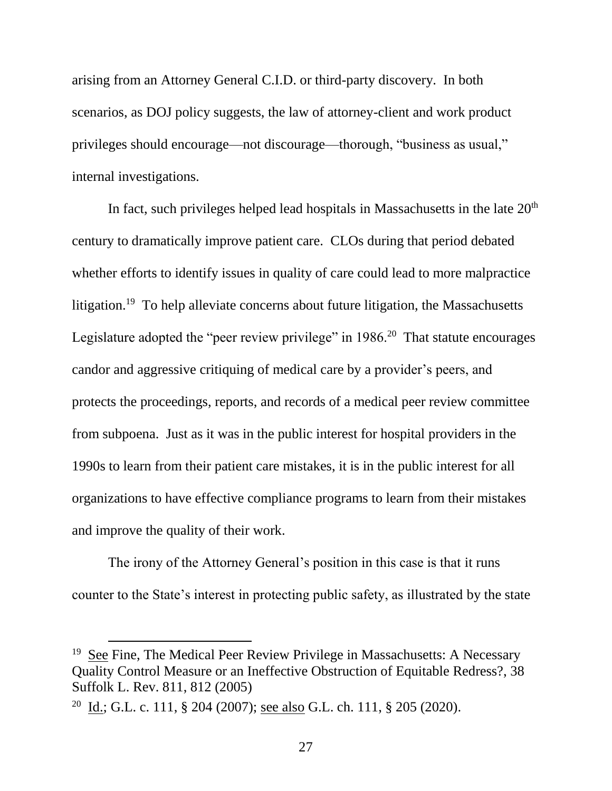arising from an Attorney General C.I.D. or third-party discovery. In both scenarios, as DOJ policy suggests, the law of attorney-client and work product privileges should encourage—not discourage—thorough, "business as usual," internal investigations.

In fact, such privileges helped lead hospitals in Massachusetts in the late  $20<sup>th</sup>$ century to dramatically improve patient care. CLOs during that period debated whether efforts to identify issues in quality of care could lead to more malpractice litigation.<sup>19</sup> To help alleviate concerns about future litigation, the Massachusetts Legislature adopted the "peer review privilege" in  $1986$ <sup>20</sup> That statute encourages candor and aggressive critiquing of medical care by a provider's peers, and protects the proceedings, reports, and records of a medical peer review committee from subpoena. Just as it was in the public interest for hospital providers in the 1990s to learn from their patient care mistakes, it is in the public interest for all organizations to have effective compliance programs to learn from their mistakes and improve the quality of their work.

The irony of the Attorney General's position in this case is that it runs counter to the State's interest in protecting public safety, as illustrated by the state

<sup>&</sup>lt;sup>19</sup> See Fine, The Medical Peer Review Privilege in Massachusetts: A Necessary Quality Control Measure or an Ineffective Obstruction of Equitable Redress?, 38 Suffolk L. Rev. 811, 812 (2005)

<sup>&</sup>lt;sup>20</sup> Id.; G.L. c. 111, § 204 (2007); <u>see also</u> G.L. ch. 111, § 205 (2020).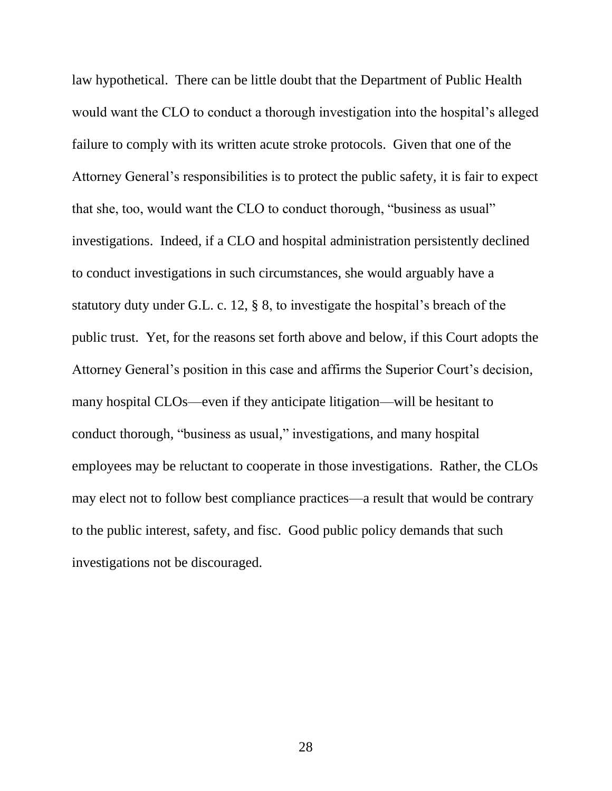law hypothetical. There can be little doubt that the Department of Public Health would want the CLO to conduct a thorough investigation into the hospital's alleged failure to comply with its written acute stroke protocols. Given that one of the Attorney General's responsibilities is to protect the public safety, it is fair to expect that she, too, would want the CLO to conduct thorough, "business as usual" investigations. Indeed, if a CLO and hospital administration persistently declined to conduct investigations in such circumstances, she would arguably have a statutory duty under G.L. c. 12, § 8, to investigate the hospital's breach of the public trust. Yet, for the reasons set forth above and below, if this Court adopts the Attorney General's position in this case and affirms the Superior Court's decision, many hospital CLOs—even if they anticipate litigation—will be hesitant to conduct thorough, "business as usual," investigations, and many hospital employees may be reluctant to cooperate in those investigations. Rather, the CLOs may elect not to follow best compliance practices—a result that would be contrary to the public interest, safety, and fisc. Good public policy demands that such investigations not be discouraged.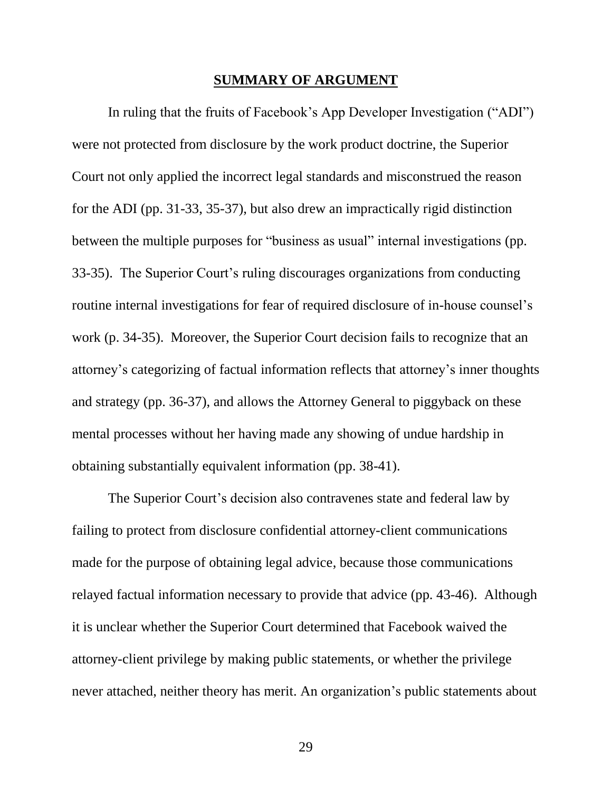#### **SUMMARY OF ARGUMENT**

In ruling that the fruits of Facebook's App Developer Investigation ("ADI") were not protected from disclosure by the work product doctrine, the Superior Court not only applied the incorrect legal standards and misconstrued the reason for the ADI (pp. 31-33, 35-37), but also drew an impractically rigid distinction between the multiple purposes for "business as usual" internal investigations (pp. 33-35). The Superior Court's ruling discourages organizations from conducting routine internal investigations for fear of required disclosure of in-house counsel's work (p. 34-35). Moreover, the Superior Court decision fails to recognize that an attorney's categorizing of factual information reflects that attorney's inner thoughts and strategy (pp. 36-37), and allows the Attorney General to piggyback on these mental processes without her having made any showing of undue hardship in obtaining substantially equivalent information (pp. 38-41).

The Superior Court's decision also contravenes state and federal law by failing to protect from disclosure confidential attorney-client communications made for the purpose of obtaining legal advice, because those communications relayed factual information necessary to provide that advice (pp. 43-46). Although it is unclear whether the Superior Court determined that Facebook waived the attorney-client privilege by making public statements, or whether the privilege never attached, neither theory has merit. An organization's public statements about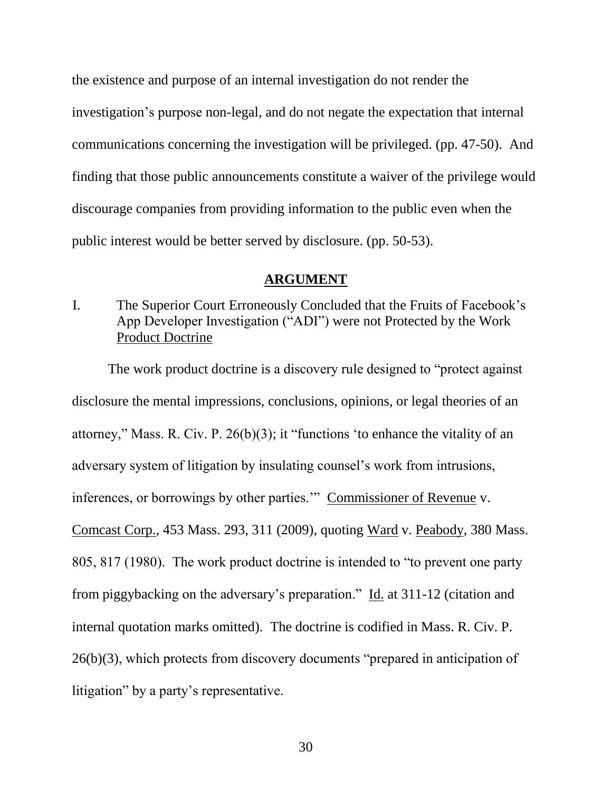the existence and purpose of an internal investigation do not render the investigation's purpose non-legal, and do not negate the expectation that internal communications concerning the investigation will be privileged. (pp. 47-50). And finding that those public announcements constitute a waiver of the privilege would discourage companies from providing information to the public even when the public interest would be better served by disclosure. (pp. 50-53).

#### **ARGUMENT**

I. The Superior Court Erroneously Concluded that the Fruits of Facebook's App Developer Investigation ("ADI") were not Protected by the Work Product Doctrine

The work product doctrine is a discovery rule designed to "protect against disclosure the mental impressions, conclusions, opinions, or legal theories of an attorney," Mass. R. Civ. P. 26(b)(3); it "functions 'to enhance the vitality of an adversary system of litigation by insulating counsel's work from intrusions, inferences, or borrowings by other parties.'" Commissioner of Revenue v. Comcast Corp., 453 Mass. 293, 311 (2009), quoting Ward v. Peabody, 380 Mass. 805, 817 (1980). The work product doctrine is intended to "to prevent one party from piggybacking on the adversary's preparation." Id. at 311-12 (citation and internal quotation marks omitted). The doctrine is codified in Mass. R. Civ. P. 26(b)(3), which protects from discovery documents "prepared in anticipation of litigation" by a party's representative.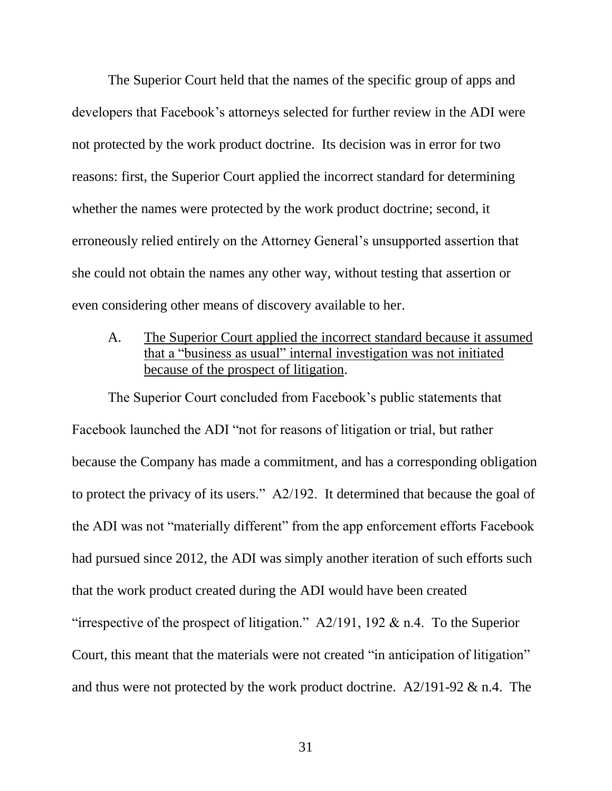The Superior Court held that the names of the specific group of apps and developers that Facebook's attorneys selected for further review in the ADI were not protected by the work product doctrine. Its decision was in error for two reasons: first, the Superior Court applied the incorrect standard for determining whether the names were protected by the work product doctrine; second, it erroneously relied entirely on the Attorney General's unsupported assertion that she could not obtain the names any other way, without testing that assertion or even considering other means of discovery available to her.

A. The Superior Court applied the incorrect standard because it assumed that a "business as usual" internal investigation was not initiated because of the prospect of litigation.

The Superior Court concluded from Facebook's public statements that Facebook launched the ADI "not for reasons of litigation or trial, but rather because the Company has made a commitment, and has a corresponding obligation to protect the privacy of its users." A2/192. It determined that because the goal of the ADI was not "materially different" from the app enforcement efforts Facebook had pursued since 2012, the ADI was simply another iteration of such efforts such that the work product created during the ADI would have been created "irrespective of the prospect of litigation."  $A2/191$ , 192 & n.4. To the Superior Court, this meant that the materials were not created "in anticipation of litigation" and thus were not protected by the work product doctrine. A2/191-92 & n.4. The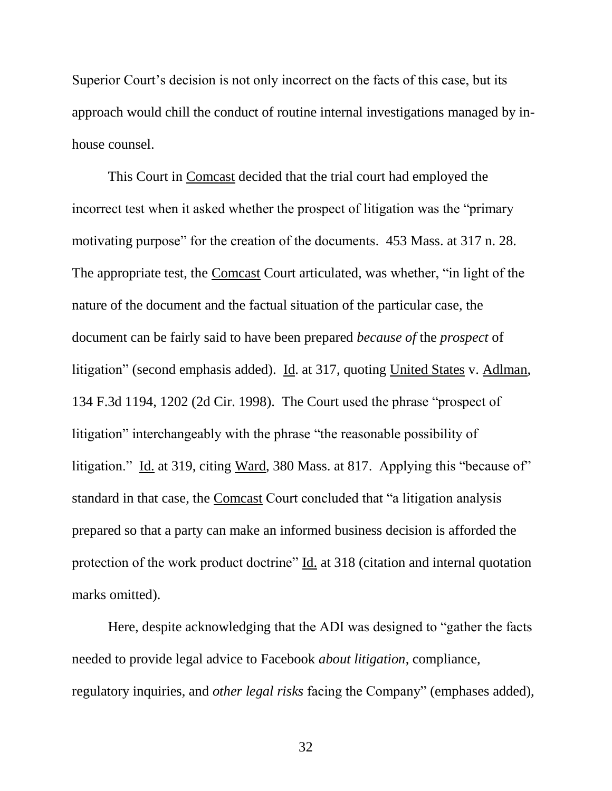Superior Court's decision is not only incorrect on the facts of this case, but its approach would chill the conduct of routine internal investigations managed by inhouse counsel.

This Court in Comcast decided that the trial court had employed the incorrect test when it asked whether the prospect of litigation was the "primary motivating purpose" for the creation of the documents. 453 Mass. at 317 n. 28. The appropriate test, the Comcast Court articulated, was whether, "in light of the nature of the document and the factual situation of the particular case, the document can be fairly said to have been prepared *because of* the *prospect* of litigation" (second emphasis added). Id. at 317, quoting United States v. Adlman, 134 F.3d 1194, 1202 (2d Cir. 1998). The Court used the phrase "prospect of litigation" interchangeably with the phrase "the reasonable possibility of litigation." Id. at 319, citing Ward, 380 Mass. at 817. Applying this "because of" standard in that case, the Comcast Court concluded that "a litigation analysis prepared so that a party can make an informed business decision is afforded the protection of the work product doctrine" Id. at 318 (citation and internal quotation marks omitted).

Here, despite acknowledging that the ADI was designed to "gather the facts needed to provide legal advice to Facebook *about litigation*, compliance, regulatory inquiries, and *other legal risks* facing the Company" (emphases added),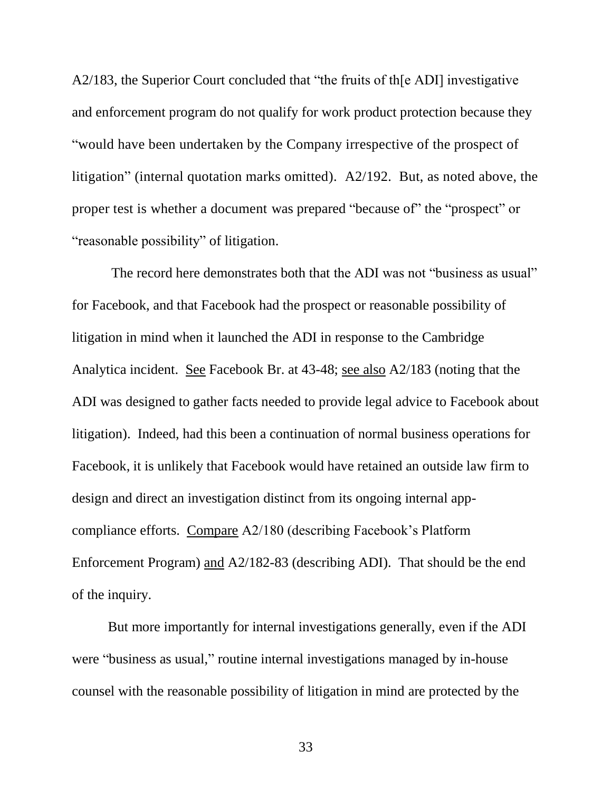A2/183, the Superior Court concluded that "the fruits of th[e ADI] investigative and enforcement program do not qualify for work product protection because they "would have been undertaken by the Company irrespective of the prospect of litigation" (internal quotation marks omitted). A2/192. But, as noted above, the proper test is whether a document was prepared "because of" the "prospect" or "reasonable possibility" of litigation.

The record here demonstrates both that the ADI was not "business as usual" for Facebook, and that Facebook had the prospect or reasonable possibility of litigation in mind when it launched the ADI in response to the Cambridge Analytica incident. See Facebook Br. at 43-48; see also A2/183 (noting that the ADI was designed to gather facts needed to provide legal advice to Facebook about litigation). Indeed, had this been a continuation of normal business operations for Facebook, it is unlikely that Facebook would have retained an outside law firm to design and direct an investigation distinct from its ongoing internal appcompliance efforts. Compare A2/180 (describing Facebook's Platform Enforcement Program) and A2/182-83 (describing ADI). That should be the end of the inquiry.

But more importantly for internal investigations generally, even if the ADI were "business as usual," routine internal investigations managed by in-house counsel with the reasonable possibility of litigation in mind are protected by the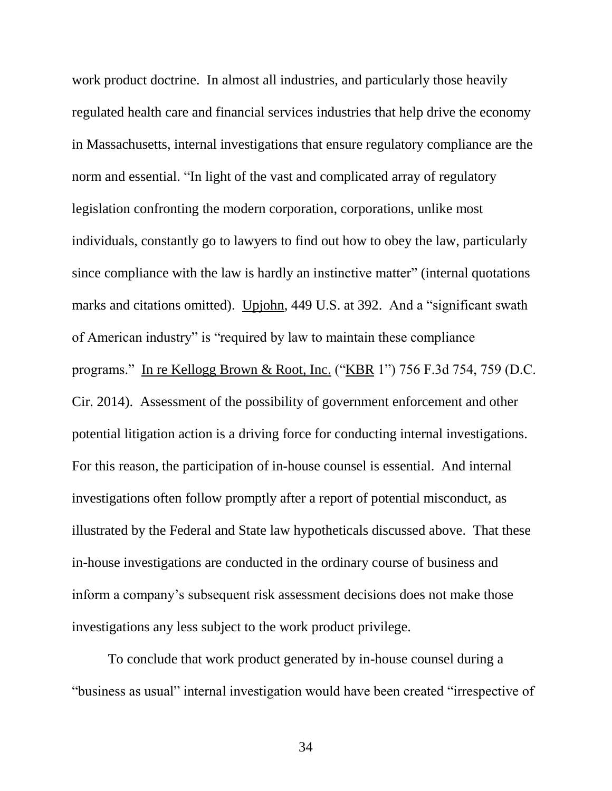work product doctrine. In almost all industries, and particularly those heavily regulated health care and financial services industries that help drive the economy in Massachusetts, internal investigations that ensure regulatory compliance are the norm and essential. "In light of the vast and complicated array of regulatory legislation confronting the modern corporation, corporations, unlike most individuals, constantly go to lawyers to find out how to obey the law, particularly since compliance with the law is hardly an instinctive matter" (internal quotations marks and citations omitted). Upjohn, 449 U.S. at 392. And a "significant swath of American industry" is "required by law to maintain these compliance programs." In re Kellogg Brown & Root, Inc. ("KBR 1") 756 F.3d 754, 759 (D.C. Cir. 2014). Assessment of the possibility of government enforcement and other potential litigation action is a driving force for conducting internal investigations. For this reason, the participation of in-house counsel is essential. And internal investigations often follow promptly after a report of potential misconduct, as illustrated by the Federal and State law hypotheticals discussed above. That these in-house investigations are conducted in the ordinary course of business and inform a company's subsequent risk assessment decisions does not make those investigations any less subject to the work product privilege.

To conclude that work product generated by in-house counsel during a "business as usual" internal investigation would have been created "irrespective of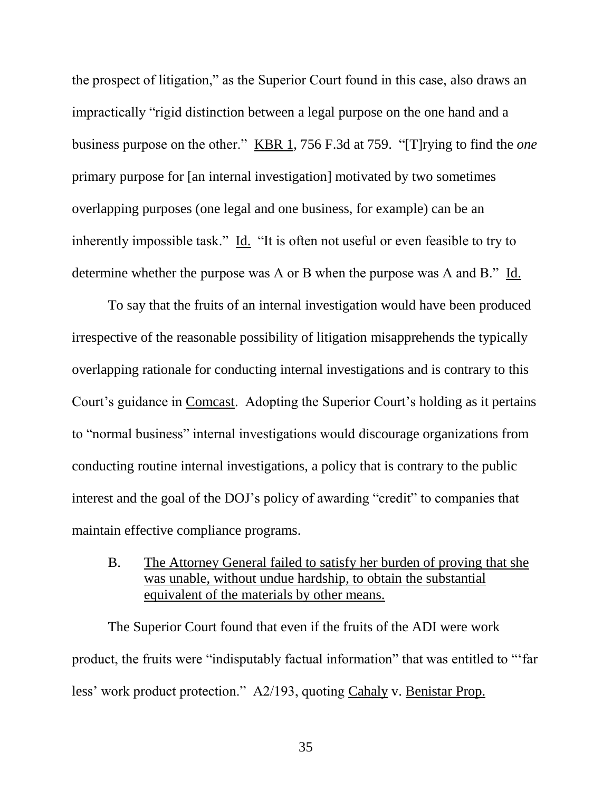the prospect of litigation," as the Superior Court found in this case, also draws an impractically "rigid distinction between a legal purpose on the one hand and a business purpose on the other." KBR 1, 756 F.3d at 759. "[T]rying to find the *one* primary purpose for [an internal investigation] motivated by two sometimes overlapping purposes (one legal and one business, for example) can be an inherently impossible task." Id. "It is often not useful or even feasible to try to determine whether the purpose was A or B when the purpose was A and B." Id.

To say that the fruits of an internal investigation would have been produced irrespective of the reasonable possibility of litigation misapprehends the typically overlapping rationale for conducting internal investigations and is contrary to this Court's guidance in Comcast. Adopting the Superior Court's holding as it pertains to "normal business" internal investigations would discourage organizations from conducting routine internal investigations, a policy that is contrary to the public interest and the goal of the DOJ's policy of awarding "credit" to companies that maintain effective compliance programs.

B. The Attorney General failed to satisfy her burden of proving that she was unable, without undue hardship, to obtain the substantial equivalent of the materials by other means.

The Superior Court found that even if the fruits of the ADI were work product, the fruits were "indisputably factual information" that was entitled to "'far less' work product protection." A2/193, quoting Cahaly v. Benistar Prop.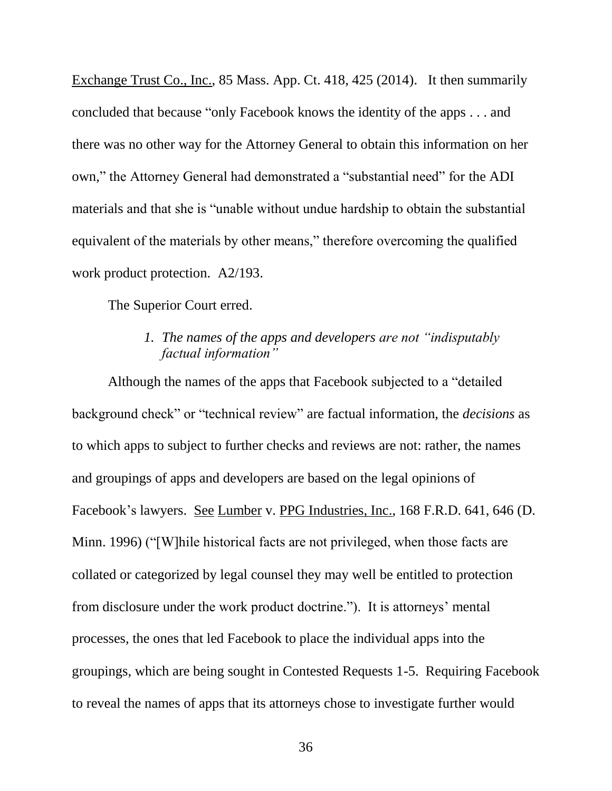Exchange Trust Co., Inc., 85 Mass. App. Ct. 418, 425 (2014). It then summarily concluded that because "only Facebook knows the identity of the apps . . . and there was no other way for the Attorney General to obtain this information on her own," the Attorney General had demonstrated a "substantial need" for the ADI materials and that she is "unable without undue hardship to obtain the substantial equivalent of the materials by other means," therefore overcoming the qualified work product protection. A2/193.

The Superior Court erred.

## *1. The names of the apps and developers are not "indisputably factual information"*

Although the names of the apps that Facebook subjected to a "detailed background check" or "technical review" are factual information, the *decisions* as to which apps to subject to further checks and reviews are not: rather, the names and groupings of apps and developers are based on the legal opinions of Facebook's lawyers. See Lumber v. PPG Industries, Inc., 168 F.R.D. 641, 646 (D. Minn. 1996) ("[W]hile historical facts are not privileged, when those facts are collated or categorized by legal counsel they may well be entitled to protection from disclosure under the work product doctrine."). It is attorneys' mental processes, the ones that led Facebook to place the individual apps into the groupings, which are being sought in Contested Requests 1-5. Requiring Facebook to reveal the names of apps that its attorneys chose to investigate further would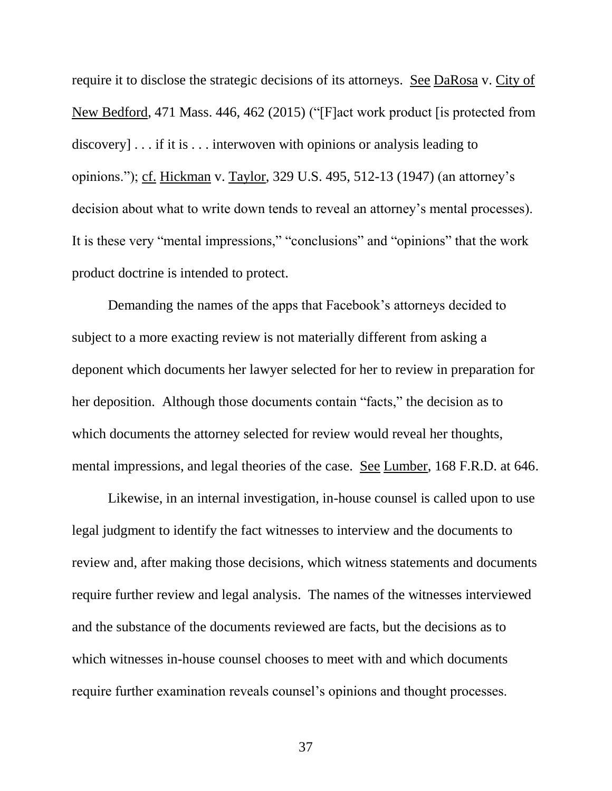require it to disclose the strategic decisions of its attorneys. See DaRosa v. City of New Bedford, 471 Mass. 446, 462 (2015) ("[F]act work product [is protected from discovery] . . . if it is . . . interwoven with opinions or analysis leading to opinions."); cf. Hickman v. Taylor, 329 U.S. 495, 512-13 (1947) (an attorney's decision about what to write down tends to reveal an attorney's mental processes). It is these very "mental impressions," "conclusions" and "opinions" that the work product doctrine is intended to protect.

Demanding the names of the apps that Facebook's attorneys decided to subject to a more exacting review is not materially different from asking a deponent which documents her lawyer selected for her to review in preparation for her deposition. Although those documents contain "facts," the decision as to which documents the attorney selected for review would reveal her thoughts, mental impressions, and legal theories of the case. See Lumber, 168 F.R.D. at 646.

Likewise, in an internal investigation, in-house counsel is called upon to use legal judgment to identify the fact witnesses to interview and the documents to review and, after making those decisions, which witness statements and documents require further review and legal analysis. The names of the witnesses interviewed and the substance of the documents reviewed are facts, but the decisions as to which witnesses in-house counsel chooses to meet with and which documents require further examination reveals counsel's opinions and thought processes.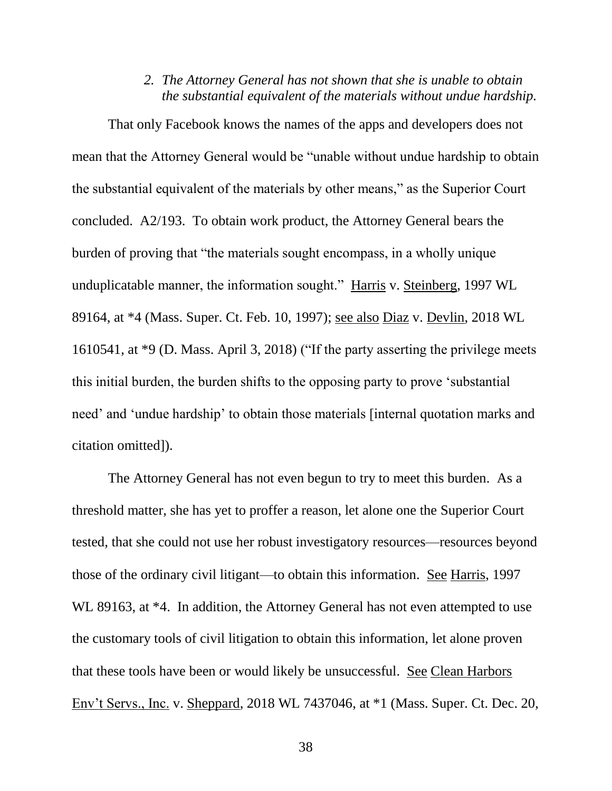#### *2. The Attorney General has not shown that she is unable to obtain the substantial equivalent of the materials without undue hardship.*

That only Facebook knows the names of the apps and developers does not mean that the Attorney General would be "unable without undue hardship to obtain the substantial equivalent of the materials by other means," as the Superior Court concluded. A2/193. To obtain work product, the Attorney General bears the burden of proving that "the materials sought encompass, in a wholly unique unduplicatable manner, the information sought." Harris v. Steinberg, 1997 WL 89164, at \*4 (Mass. Super. Ct. Feb. 10, 1997); see also Diaz v. Devlin, 2018 WL 1610541, at \*9 (D. Mass. April 3, 2018) ("If the party asserting the privilege meets this initial burden, the burden shifts to the opposing party to prove 'substantial need' and 'undue hardship' to obtain those materials [internal quotation marks and citation omitted]).

The Attorney General has not even begun to try to meet this burden. As a threshold matter, she has yet to proffer a reason, let alone one the Superior Court tested, that she could not use her robust investigatory resources—resources beyond those of the ordinary civil litigant—to obtain this information. See Harris, 1997 WL 89163, at  $*4$ . In addition, the Attorney General has not even attempted to use the customary tools of civil litigation to obtain this information, let alone proven that these tools have been or would likely be unsuccessful. See Clean Harbors Env't Servs., Inc. v. Sheppard, 2018 WL 7437046, at \*1 (Mass. Super. Ct. Dec. 20,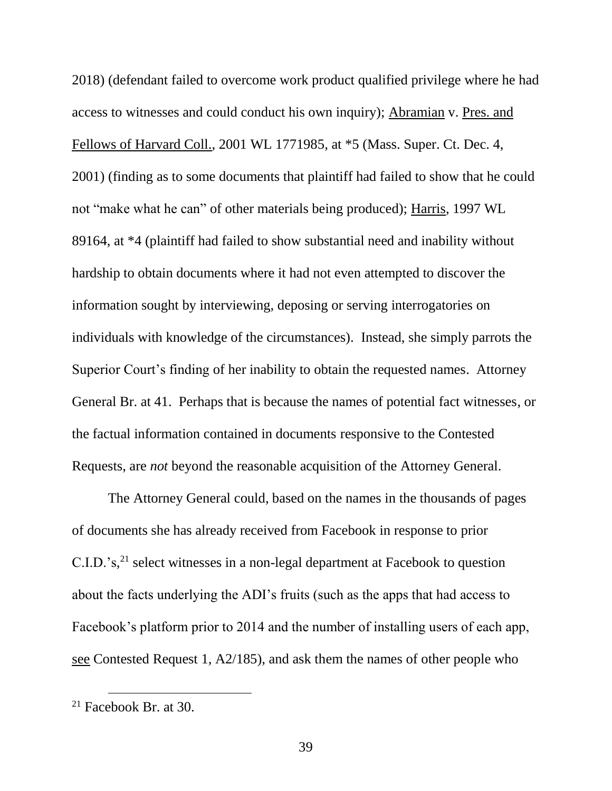2018) (defendant failed to overcome work product qualified privilege where he had access to witnesses and could conduct his own inquiry); Abramian v. Pres. and Fellows of Harvard Coll., 2001 WL 1771985, at \*5 (Mass. Super. Ct. Dec. 4, 2001) (finding as to some documents that plaintiff had failed to show that he could not "make what he can" of other materials being produced); Harris, 1997 WL 89164, at \*4 (plaintiff had failed to show substantial need and inability without hardship to obtain documents where it had not even attempted to discover the information sought by interviewing, deposing or serving interrogatories on individuals with knowledge of the circumstances). Instead, she simply parrots the Superior Court's finding of her inability to obtain the requested names. Attorney General Br. at 41. Perhaps that is because the names of potential fact witnesses, or the factual information contained in documents responsive to the Contested Requests, are *not* beyond the reasonable acquisition of the Attorney General.

The Attorney General could, based on the names in the thousands of pages of documents she has already received from Facebook in response to prior C.I.D.'s, <sup>21</sup> select witnesses in a non-legal department at Facebook to question about the facts underlying the ADI's fruits (such as the apps that had access to Facebook's platform prior to 2014 and the number of installing users of each app, see Contested Request 1, A2/185), and ask them the names of other people who

 $21$  Facebook Br. at 30.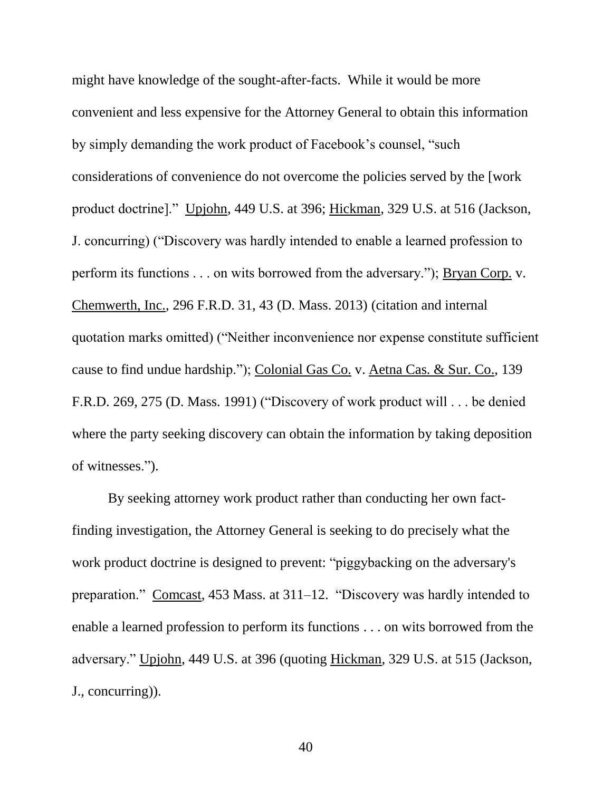might have knowledge of the sought-after-facts. While it would be more convenient and less expensive for the Attorney General to obtain this information by simply demanding the work product of Facebook's counsel, "such considerations of convenience do not overcome the policies served by the [work product doctrine]." Upjohn, 449 U.S. at 396; Hickman, 329 U.S. at 516 (Jackson, J. concurring) ("Discovery was hardly intended to enable a learned profession to perform its functions . . . on wits borrowed from the adversary."); Bryan Corp. v. Chemwerth, Inc., 296 F.R.D. 31, 43 (D. Mass. 2013) (citation and internal quotation marks omitted) ("Neither inconvenience nor expense constitute sufficient cause to find undue hardship."); Colonial Gas Co. v. Aetna Cas. & Sur. Co., 139 F.R.D. 269, 275 (D. Mass. 1991) ("Discovery of work product will . . . be denied where the party seeking discovery can obtain the information by taking deposition of witnesses.").

By seeking attorney work product rather than conducting her own factfinding investigation, the Attorney General is seeking to do precisely what the work product doctrine is designed to prevent: "piggybacking on the adversary's preparation." Comcast, 453 Mass. at 311–12. "Discovery was hardly intended to enable a learned profession to perform its functions . . . on wits borrowed from the adversary." Upjohn, 449 U.S. at 396 (quoting Hickman*,* 329 U.S. at 515 (Jackson, J., concurring)).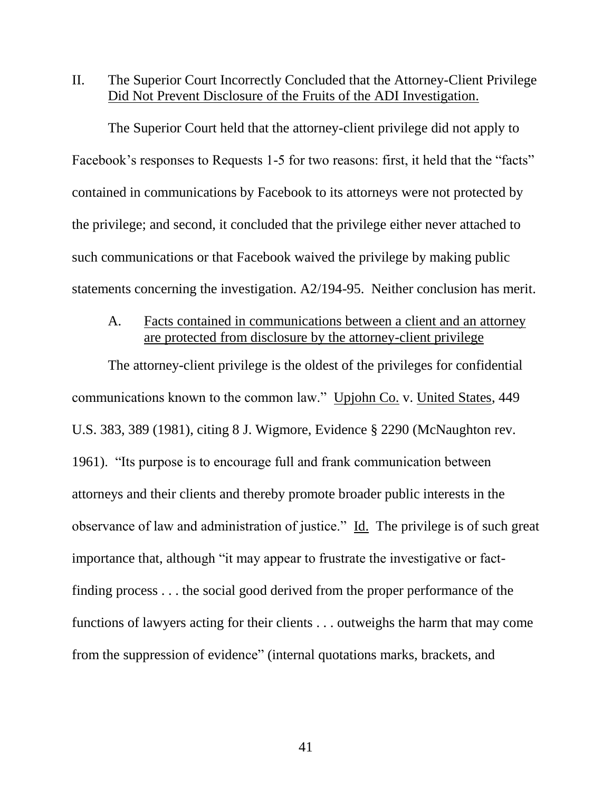II. The Superior Court Incorrectly Concluded that the Attorney-Client Privilege Did Not Prevent Disclosure of the Fruits of the ADI Investigation.

The Superior Court held that the attorney-client privilege did not apply to Facebook's responses to Requests 1-5 for two reasons: first, it held that the "facts" contained in communications by Facebook to its attorneys were not protected by the privilege; and second, it concluded that the privilege either never attached to such communications or that Facebook waived the privilege by making public statements concerning the investigation. A2/194-95. Neither conclusion has merit.

### A. Facts contained in communications between a client and an attorney are protected from disclosure by the attorney-client privilege

The attorney-client privilege is the oldest of the privileges for confidential communications known to the common law." Upjohn Co. v. United States, 449 U.S. 383, 389 (1981), citing 8 J. Wigmore, Evidence § 2290 (McNaughton rev. 1961). "Its purpose is to encourage full and frank communication between attorneys and their clients and thereby promote broader public interests in the observance of law and administration of justice." Id. The privilege is of such great importance that, although "it may appear to frustrate the investigative or factfinding process . . . the social good derived from the proper performance of the functions of lawyers acting for their clients . . . outweighs the harm that may come from the suppression of evidence" (internal quotations marks, brackets, and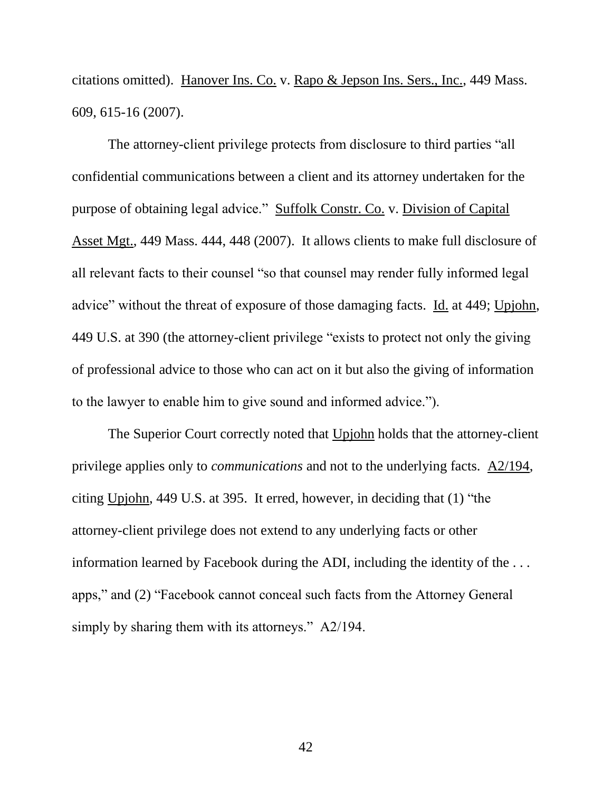citations omitted). Hanover Ins. Co. v. Rapo & Jepson Ins. Sers., Inc., 449 Mass. 609, 615-16 (2007).

The attorney-client privilege protects from disclosure to third parties "all confidential communications between a client and its attorney undertaken for the purpose of obtaining legal advice." Suffolk Constr. Co. v. Division of Capital Asset Mgt., 449 Mass. 444, 448 (2007). It allows clients to make full disclosure of all relevant facts to their counsel "so that counsel may render fully informed legal advice" without the threat of exposure of those damaging facts. Id. at 449; Upjohn, 449 U.S. at 390 (the attorney-client privilege "exists to protect not only the giving of professional advice to those who can act on it but also the giving of information to the lawyer to enable him to give sound and informed advice.").

The Superior Court correctly noted that Upjohn holds that the attorney-client privilege applies only to *communications* and not to the underlying facts. A2/194, citing Upjohn, 449 U.S. at 395. It erred, however, in deciding that (1) "the attorney-client privilege does not extend to any underlying facts or other information learned by Facebook during the ADI, including the identity of the . . . apps," and (2) "Facebook cannot conceal such facts from the Attorney General simply by sharing them with its attorneys." A2/194.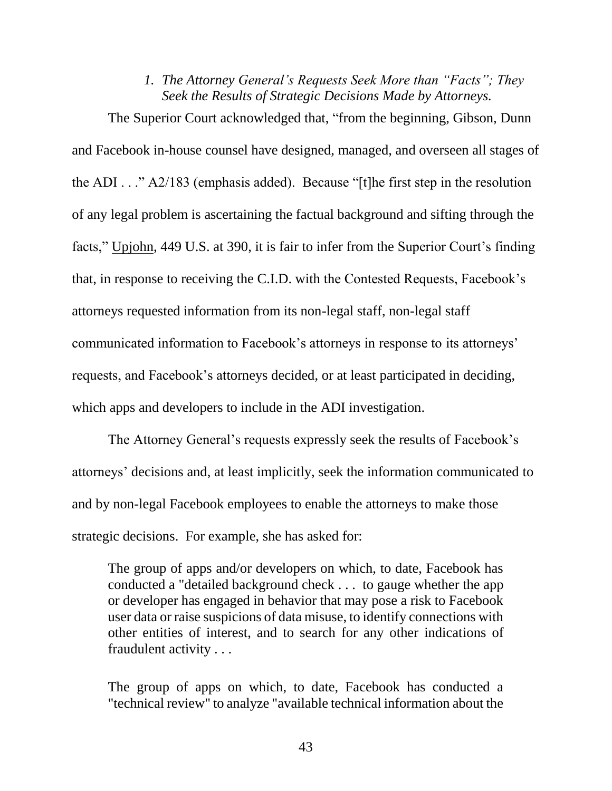#### *1. The Attorney General's Requests Seek More than "Facts"; They Seek the Results of Strategic Decisions Made by Attorneys.*

The Superior Court acknowledged that, "from the beginning, Gibson, Dunn and Facebook in-house counsel have designed, managed, and overseen all stages of the ADI . . ." A2/183 (emphasis added). Because "[t]he first step in the resolution of any legal problem is ascertaining the factual background and sifting through the facts," Upjohn, 449 U.S. at 390, it is fair to infer from the Superior Court's finding that, in response to receiving the C.I.D. with the Contested Requests, Facebook's attorneys requested information from its non-legal staff, non-legal staff communicated information to Facebook's attorneys in response to its attorneys' requests, and Facebook's attorneys decided, or at least participated in deciding, which apps and developers to include in the ADI investigation.

The Attorney General's requests expressly seek the results of Facebook's attorneys' decisions and, at least implicitly, seek the information communicated to and by non-legal Facebook employees to enable the attorneys to make those strategic decisions. For example, she has asked for:

The group of apps and/or developers on which, to date, Facebook has conducted a "detailed background check . . . to gauge whether the app or developer has engaged in behavior that may pose a risk to Facebook user data or raise suspicions of data misuse, to identify connections with other entities of interest, and to search for any other indications of fraudulent activity . . .

The group of apps on which, to date, Facebook has conducted a "technical review" to analyze "available technical information about the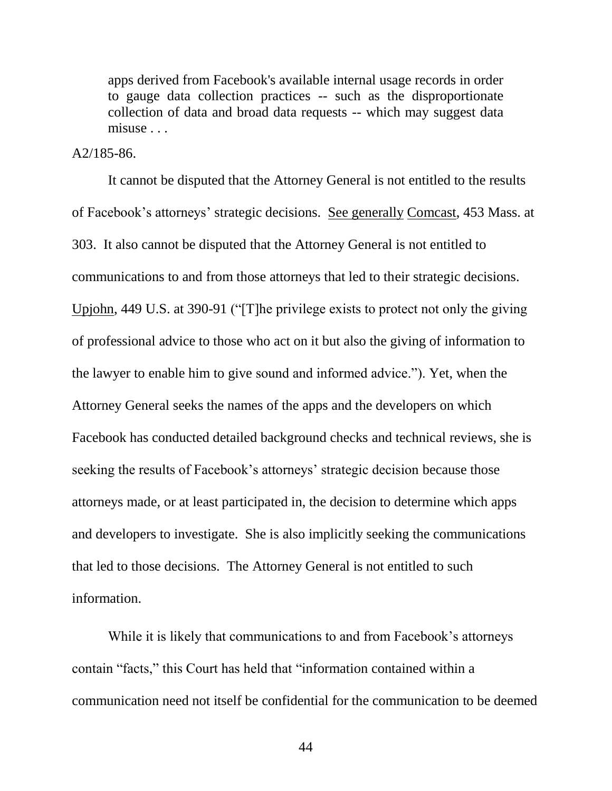apps derived from Facebook's available internal usage records in order to gauge data collection practices -- such as the disproportionate collection of data and broad data requests -- which may suggest data misuse . . .

#### A2/185-86.

It cannot be disputed that the Attorney General is not entitled to the results of Facebook's attorneys' strategic decisions. See generally Comcast, 453 Mass. at 303. It also cannot be disputed that the Attorney General is not entitled to communications to and from those attorneys that led to their strategic decisions. Upjohn, 449 U.S. at 390-91 ("[T]he privilege exists to protect not only the giving of professional advice to those who act on it but also the giving of information to the lawyer to enable him to give sound and informed advice."). Yet, when the Attorney General seeks the names of the apps and the developers on which Facebook has conducted detailed background checks and technical reviews, she is seeking the results of Facebook's attorneys' strategic decision because those attorneys made, or at least participated in, the decision to determine which apps and developers to investigate. She is also implicitly seeking the communications that led to those decisions. The Attorney General is not entitled to such information.

While it is likely that communications to and from Facebook's attorneys contain "facts," this Court has held that "information contained within a communication need not itself be confidential for the communication to be deemed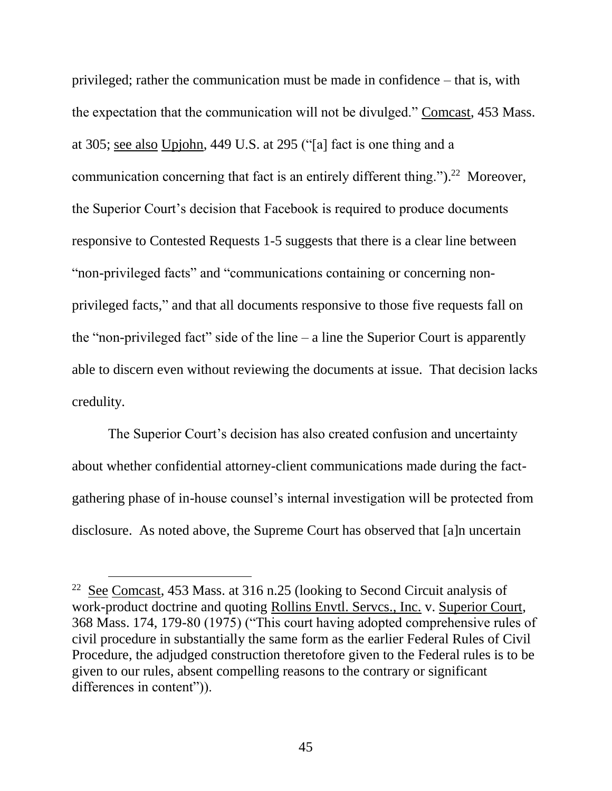privileged; rather the communication must be made in confidence – that is, with the expectation that the communication will not be divulged." Comcast, 453 Mass. at 305; see also Upjohn, 449 U.S. at 295 ("[a] fact is one thing and a communication concerning that fact is an entirely different thing.").<sup>22</sup> Moreover, the Superior Court's decision that Facebook is required to produce documents responsive to Contested Requests 1-5 suggests that there is a clear line between "non-privileged facts" and "communications containing or concerning nonprivileged facts," and that all documents responsive to those five requests fall on the "non-privileged fact" side of the line  $-$  a line the Superior Court is apparently able to discern even without reviewing the documents at issue. That decision lacks credulity.

The Superior Court's decision has also created confusion and uncertainty about whether confidential attorney-client communications made during the factgathering phase of in-house counsel's internal investigation will be protected from disclosure. As noted above, the Supreme Court has observed that [a]n uncertain

 $22$  See Comcast, 453 Mass. at 316 n.25 (looking to Second Circuit analysis of work-product doctrine and quoting Rollins Envtl. Servcs., Inc. v. Superior Court, 368 Mass. 174, 179-80 (1975) ("This court having adopted comprehensive rules of civil procedure in substantially the same form as the earlier Federal Rules of Civil Procedure, the adjudged construction theretofore given to the Federal rules is to be given to our rules, absent compelling reasons to the contrary or significant differences in content")).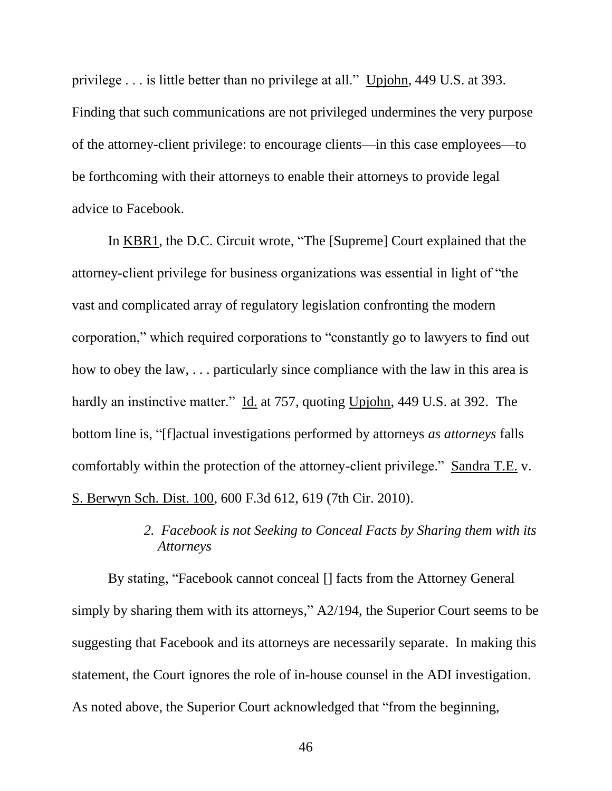privilege . . . is little better than no privilege at all." Upjohn, 449 U.S. at 393. Finding that such communications are not privileged undermines the very purpose of the attorney-client privilege: to encourage clients—in this case employees—to be forthcoming with their attorneys to enable their attorneys to provide legal advice to Facebook.

In KBR1, the D.C. Circuit wrote, "The [Supreme] Court explained that the attorney-client privilege for business organizations was essential in light of "the vast and complicated array of regulatory legislation confronting the modern corporation," which required corporations to "constantly go to lawyers to find out how to obey the law, . . . particularly since compliance with the law in this area is hardly an instinctive matter." Id. at 757, quoting Upjohn, 449 U.S. at 392. The bottom line is, "[f]actual investigations performed by attorneys *as attorneys* falls comfortably within the protection of the attorney-client privilege." Sandra T.E. v. S. Berwyn Sch. Dist. 100, 600 F.3d 612, 619 (7th Cir. 2010).

## *2. Facebook is not Seeking to Conceal Facts by Sharing them with its Attorneys*

By stating, "Facebook cannot conceal [] facts from the Attorney General simply by sharing them with its attorneys," A2/194, the Superior Court seems to be suggesting that Facebook and its attorneys are necessarily separate. In making this statement, the Court ignores the role of in-house counsel in the ADI investigation. As noted above, the Superior Court acknowledged that "from the beginning,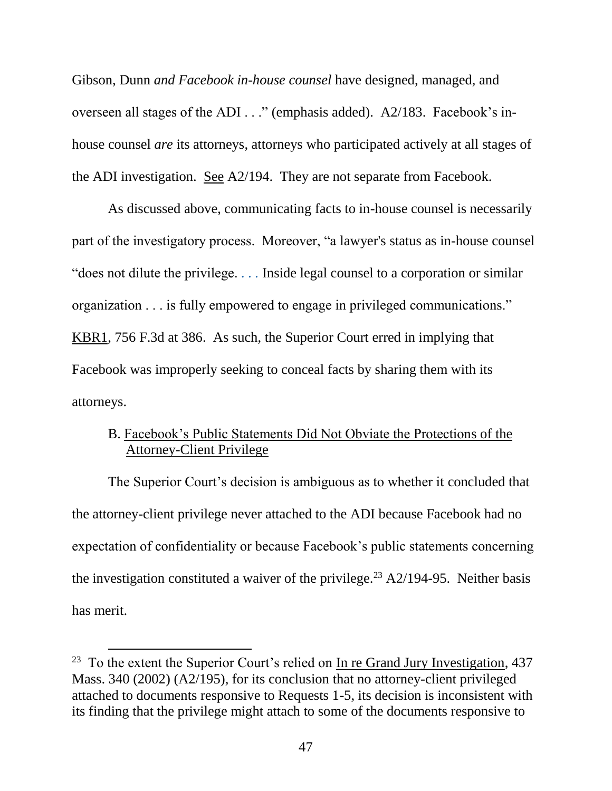Gibson, Dunn *and Facebook in-house counsel* have designed, managed, and overseen all stages of the ADI . . ." (emphasis added). A2/183. Facebook's inhouse counsel *are* its attorneys, attorneys who participated actively at all stages of the ADI investigation. See A2/194. They are not separate from Facebook.

As discussed above, communicating facts to in-house counsel is necessarily part of the investigatory process. Moreover, "a lawyer's status as in-house counsel "does not dilute the privilege. *. . .* Inside legal counsel to a corporation or similar organization . . . is fully empowered to engage in privileged communications." KBR1, 756 F.3d at 386. As such, the Superior Court erred in implying that Facebook was improperly seeking to conceal facts by sharing them with its attorneys.

## B. Facebook's Public Statements Did Not Obviate the Protections of the Attorney-Client Privilege

The Superior Court's decision is ambiguous as to whether it concluded that the attorney-client privilege never attached to the ADI because Facebook had no expectation of confidentiality or because Facebook's public statements concerning the investigation constituted a waiver of the privilege.<sup>23</sup> A2/194-95. Neither basis has merit.

<sup>&</sup>lt;sup>23</sup> To the extent the Superior Court's relied on <u>In re Grand Jury Investigation</u>, 437 Mass. 340 (2002) (A2/195), for its conclusion that no attorney-client privileged attached to documents responsive to Requests 1-5, its decision is inconsistent with its finding that the privilege might attach to some of the documents responsive to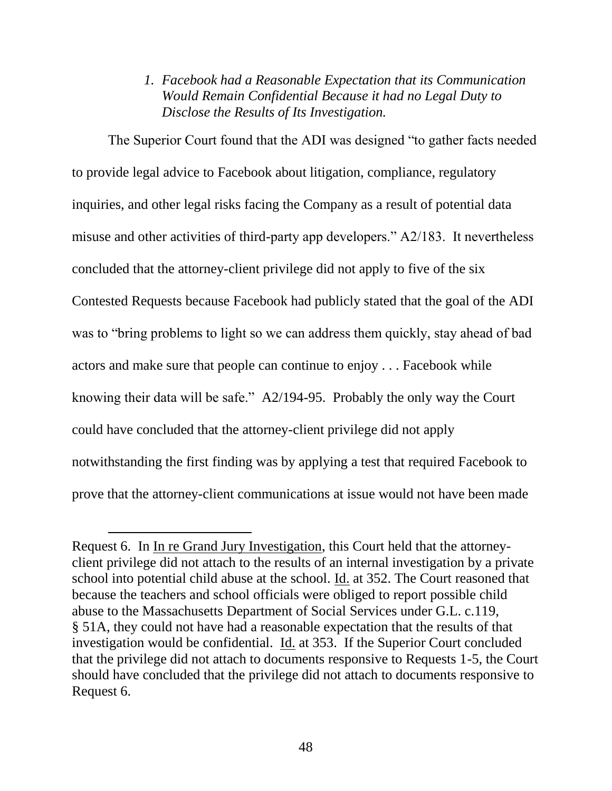## *1. Facebook had a Reasonable Expectation that its Communication Would Remain Confidential Because it had no Legal Duty to Disclose the Results of Its Investigation.*

The Superior Court found that the ADI was designed "to gather facts needed to provide legal advice to Facebook about litigation, compliance, regulatory inquiries, and other legal risks facing the Company as a result of potential data misuse and other activities of third-party app developers." A2/183. It nevertheless concluded that the attorney-client privilege did not apply to five of the six Contested Requests because Facebook had publicly stated that the goal of the ADI was to "bring problems to light so we can address them quickly, stay ahead of bad actors and make sure that people can continue to enjoy . . . Facebook while knowing their data will be safe." A2/194-95. Probably the only way the Court could have concluded that the attorney-client privilege did not apply notwithstanding the first finding was by applying a test that required Facebook to prove that the attorney-client communications at issue would not have been made

Request 6. In In re Grand Jury Investigation, this Court held that the attorneyclient privilege did not attach to the results of an internal investigation by a private school into potential child abuse at the school. Id. at 352. The Court reasoned that because the teachers and school officials were obliged to report possible child abuse to the Massachusetts Department of Social Services under G.L. c.119, § 51A, they could not have had a reasonable expectation that the results of that investigation would be confidential. Id. at 353. If the Superior Court concluded that the privilege did not attach to documents responsive to Requests 1-5, the Court should have concluded that the privilege did not attach to documents responsive to Request 6.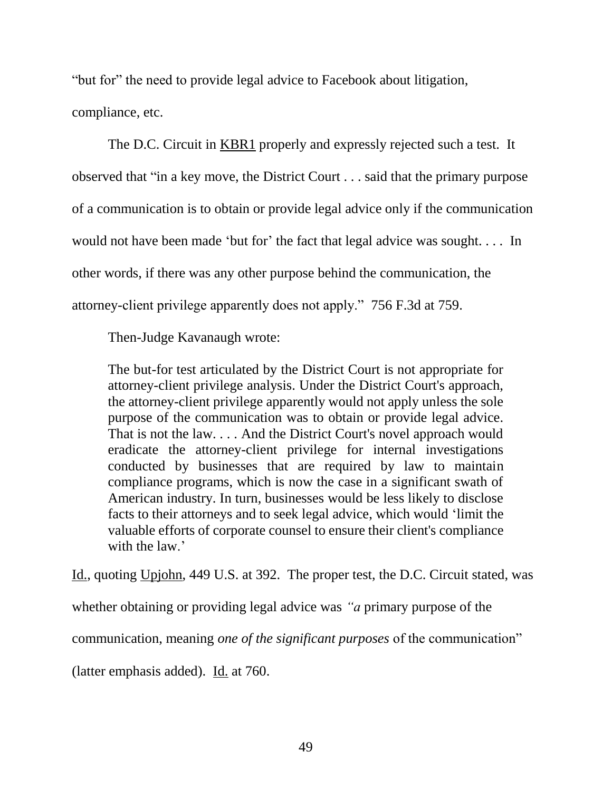"but for" the need to provide legal advice to Facebook about litigation,

compliance, etc.

The D.C. Circuit in KBR1 properly and expressly rejected such a test. It observed that "in a key move, the District Court . . . said that the primary purpose of a communication is to obtain or provide legal advice only if the communication would not have been made 'but for' the fact that legal advice was sought. . . . In other words, if there was any other purpose behind the communication, the attorney-client privilege apparently does not apply." 756 F.3d at 759.

Then-Judge Kavanaugh wrote:

The but-for test articulated by the District Court is not appropriate for attorney-client privilege analysis. Under the District Court's approach, the attorney-client privilege apparently would not apply unless the sole purpose of the communication was to obtain or provide legal advice. That is not the law. . . . And the District Court's novel approach would eradicate the attorney-client privilege for internal investigations conducted by businesses that are required by law to maintain compliance programs, which is now the case in a significant swath of American industry. In turn, businesses would be less likely to disclose facts to their attorneys and to seek legal advice, which would 'limit the valuable efforts of corporate counsel to ensure their client's compliance with the law.'

Id., quoting Upjohn, 449 U.S. at 392. The proper test, the D.C. Circuit stated, was

whether obtaining or providing legal advice was *"a* primary purpose of the

communication, meaning *one of the significant purposes* of the communication"

(latter emphasis added). Id. at 760.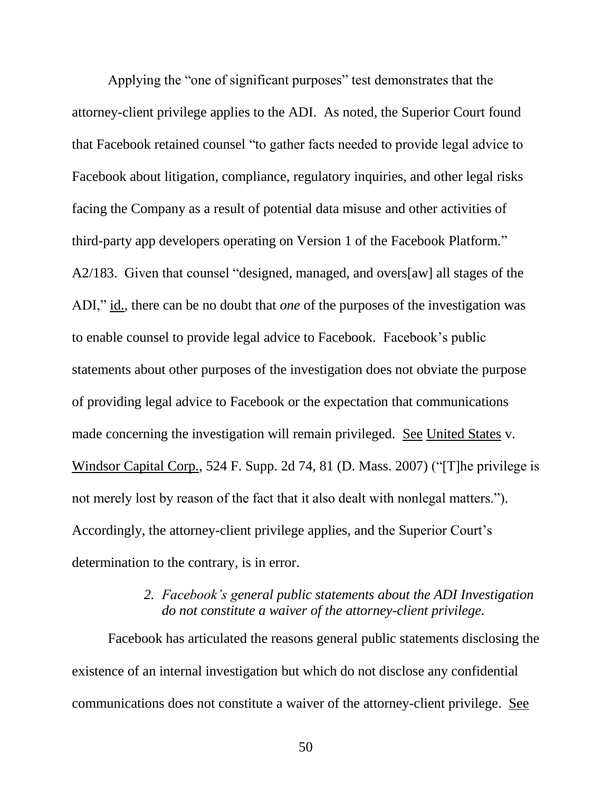Applying the "one of significant purposes" test demonstrates that the attorney-client privilege applies to the ADI. As noted, the Superior Court found that Facebook retained counsel "to gather facts needed to provide legal advice to Facebook about litigation, compliance, regulatory inquiries, and other legal risks facing the Company as a result of potential data misuse and other activities of third-party app developers operating on Version 1 of the Facebook Platform." A2/183. Given that counsel "designed, managed, and overs[aw] all stages of the ADI," id., there can be no doubt that *one* of the purposes of the investigation was to enable counsel to provide legal advice to Facebook. Facebook's public statements about other purposes of the investigation does not obviate the purpose of providing legal advice to Facebook or the expectation that communications made concerning the investigation will remain privileged. See United States v. Windsor Capital Corp., 524 F. Supp. 2d 74, 81 (D. Mass. 2007) ("[T]he privilege is not merely lost by reason of the fact that it also dealt with nonlegal matters."). Accordingly, the attorney-client privilege applies, and the Superior Court's determination to the contrary, is in error.

## *2. Facebook's general public statements about the ADI Investigation do not constitute a waiver of the attorney-client privilege.*

Facebook has articulated the reasons general public statements disclosing the existence of an internal investigation but which do not disclose any confidential communications does not constitute a waiver of the attorney-client privilege. See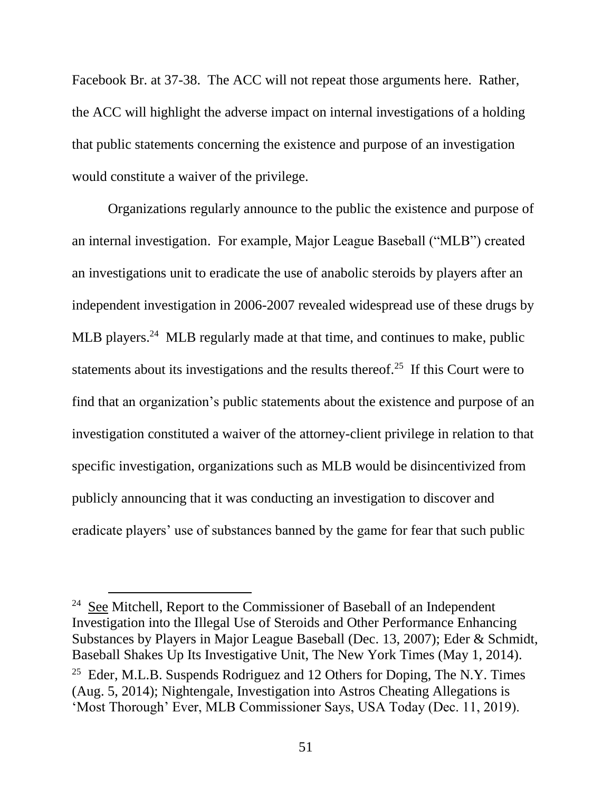Facebook Br. at 37-38. The ACC will not repeat those arguments here. Rather, the ACC will highlight the adverse impact on internal investigations of a holding that public statements concerning the existence and purpose of an investigation would constitute a waiver of the privilege.

Organizations regularly announce to the public the existence and purpose of an internal investigation. For example, Major League Baseball ("MLB") created an investigations unit to eradicate the use of anabolic steroids by players after an independent investigation in 2006-2007 revealed widespread use of these drugs by MLB players.<sup>24</sup> MLB regularly made at that time, and continues to make, public statements about its investigations and the results thereof.<sup>25</sup> If this Court were to find that an organization's public statements about the existence and purpose of an investigation constituted a waiver of the attorney-client privilege in relation to that specific investigation, organizations such as MLB would be disincentivized from publicly announcing that it was conducting an investigation to discover and eradicate players' use of substances banned by the game for fear that such public

 $24$  See Mitchell, Report to the Commissioner of Baseball of an Independent Investigation into the Illegal Use of Steroids and Other Performance Enhancing Substances by Players in Major League Baseball (Dec. 13, 2007); Eder & Schmidt, Baseball Shakes Up Its Investigative Unit, The New York Times (May 1, 2014). <sup>25</sup> Eder, M.L.B. Suspends Rodriguez and 12 Others for Doping, The N.Y. Times (Aug. 5, 2014); Nightengale, Investigation into Astros Cheating Allegations is 'Most Thorough' Ever, MLB Commissioner Says, USA Today (Dec. 11, 2019).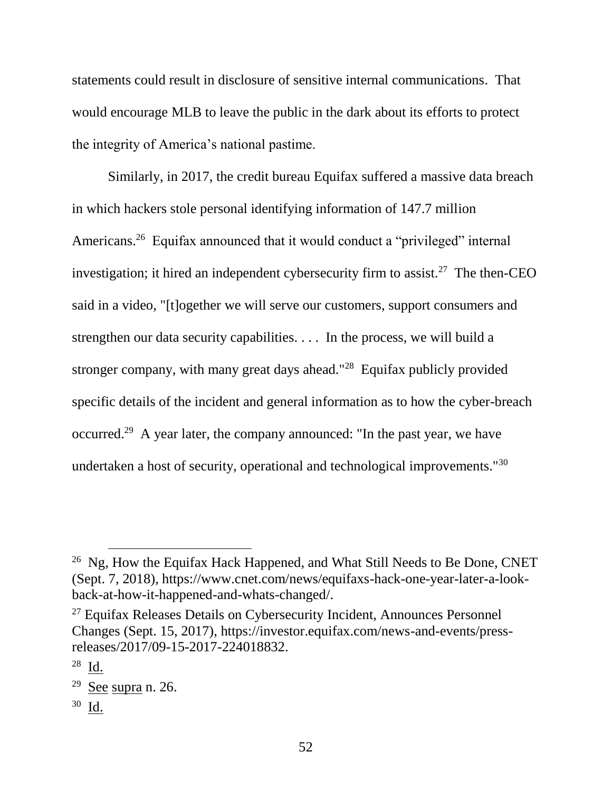statements could result in disclosure of sensitive internal communications. That would encourage MLB to leave the public in the dark about its efforts to protect the integrity of America's national pastime.

Similarly, in 2017, the credit bureau Equifax suffered a massive data breach in which hackers stole personal identifying information of 147.7 million Americans.<sup>26</sup> Equifax announced that it would conduct a "privileged" internal investigation; it hired an independent cybersecurity firm to assist.<sup>27</sup> The then-CEO said in a video, "[t]ogether we will serve our customers, support consumers and strengthen our data security capabilities. . . . In the process, we will build a stronger company, with many great days ahead."<sup>28</sup> Equifax publicly provided specific details of the incident and general information as to how the cyber-breach occurred.<sup>29</sup> A year later, the company announced: "In the past year, we have undertaken a host of security, operational and technological improvements."<sup>30</sup>

 $\overline{a}$ 

<sup>30</sup> <u>Id.</u>

<sup>&</sup>lt;sup>26</sup> Ng, How the Equifax Hack Happened, and What Still Needs to Be Done, CNET (Sept. 7, 2018), https://www.cnet.com/news/equifaxs-hack-one-year-later-a-lookback-at-how-it-happened-and-whats-changed/.

<sup>&</sup>lt;sup>27</sup> Equifax Releases Details on Cybersecurity Incident, Announces Personnel Changes (Sept. 15, 2017), https://investor.equifax.com/news-and-events/pressreleases/2017/09-15-2017-224018832.

 $^{28}$   $\underline{\mathrm{Id}}$ .

 $29$  See supra n. 26.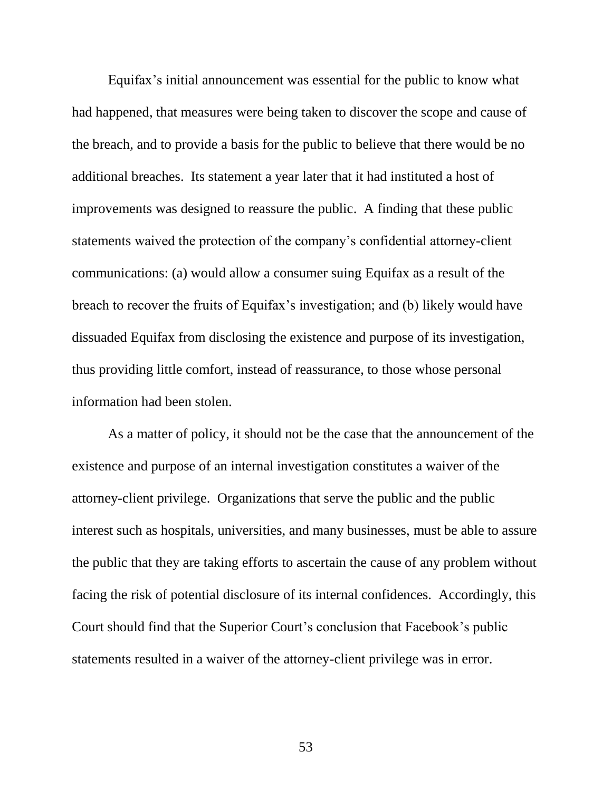Equifax's initial announcement was essential for the public to know what had happened, that measures were being taken to discover the scope and cause of the breach, and to provide a basis for the public to believe that there would be no additional breaches. Its statement a year later that it had instituted a host of improvements was designed to reassure the public. A finding that these public statements waived the protection of the company's confidential attorney-client communications: (a) would allow a consumer suing Equifax as a result of the breach to recover the fruits of Equifax's investigation; and (b) likely would have dissuaded Equifax from disclosing the existence and purpose of its investigation, thus providing little comfort, instead of reassurance, to those whose personal information had been stolen.

As a matter of policy, it should not be the case that the announcement of the existence and purpose of an internal investigation constitutes a waiver of the attorney-client privilege. Organizations that serve the public and the public interest such as hospitals, universities, and many businesses, must be able to assure the public that they are taking efforts to ascertain the cause of any problem without facing the risk of potential disclosure of its internal confidences. Accordingly, this Court should find that the Superior Court's conclusion that Facebook's public statements resulted in a waiver of the attorney-client privilege was in error.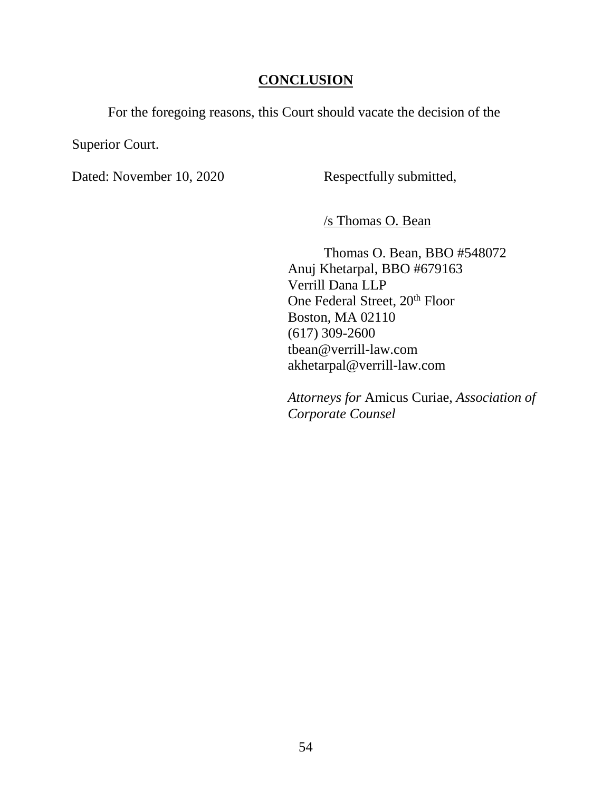### **CONCLUSION**

For the foregoing reasons, this Court should vacate the decision of the

Superior Court.

Dated: November 10, 2020 Respectfully submitted,

/s Thomas O. Bean

Thomas O. Bean, BBO #548072 Anuj Khetarpal, BBO #679163 Verrill Dana LLP One Federal Street, 20<sup>th</sup> Floor Boston, MA 02110 (617) 309-2600 tbean@verrill-law.com akhetarpal@verrill-law.com

*Attorneys for* Amicus Curiae, *Association of Corporate Counsel*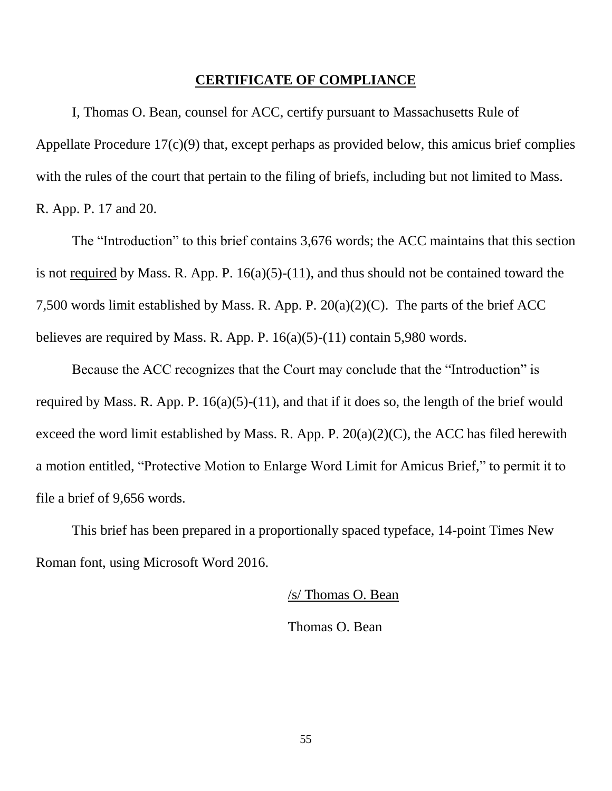#### **CERTIFICATE OF COMPLIANCE**

I, Thomas O. Bean, counsel for ACC, certify pursuant to Massachusetts Rule of Appellate Procedure 17(c)(9) that, except perhaps as provided below, this amicus brief complies with the rules of the court that pertain to the filing of briefs, including but not limited to Mass. R. App. P. 17 and 20.

The "Introduction" to this brief contains 3,676 words; the ACC maintains that this section is not <u>required</u> by Mass. R. App. P.  $16(a)(5)-(11)$ , and thus should not be contained toward the 7,500 words limit established by Mass. R. App. P. 20(a)(2)(C). The parts of the brief ACC believes are required by Mass. R. App. P.  $16(a)(5)-(11)$  contain 5,980 words.

Because the ACC recognizes that the Court may conclude that the "Introduction" is required by Mass. R. App. P. 16(a)(5)-(11), and that if it does so, the length of the brief would exceed the word limit established by Mass. R. App. P.  $20(a)(2)(C)$ , the ACC has filed herewith a motion entitled, "Protective Motion to Enlarge Word Limit for Amicus Brief," to permit it to file a brief of 9,656 words.

This brief has been prepared in a proportionally spaced typeface, 14-point Times New Roman font, using Microsoft Word 2016.

/s/ Thomas O. Bean

Thomas O. Bean